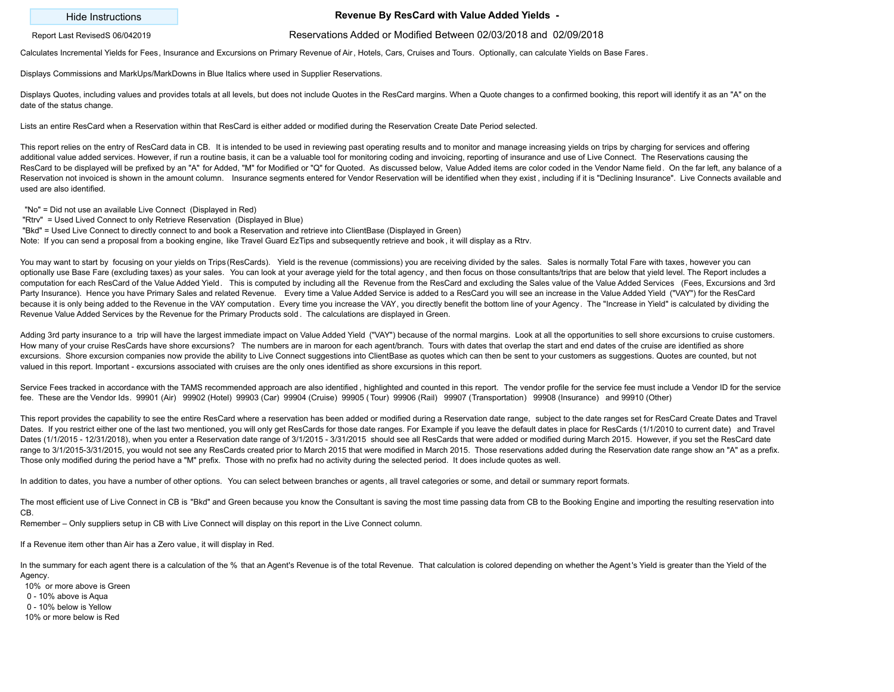## Hide Instructions **Revenue By ResCard with Value Added Yields -**

## Report Last RevisedS 06/042019 Reservations Added or Modified Between 02/03/2018 and 02/09/2018

Calculates Incremental Yields for Fees, Insurance and Excursions on Primary Revenue of Air, Hotels, Cars, Cruises and Tours. Optionally, can calculate Yields on Base Fares.

Displays Commissions and MarkUps/MarkDowns in Blue Italics where used in Supplier Reservations.

Displays Quotes, including values and provides totals at all levels, but does not include Quotes in the ResCard margins. When a Quote changes to a confirmed booking, this report will identify it as an "A" on the date of the status change.

Lists an entire ResCard when a Reservation within that ResCard is either added or modified during the Reservation Create Date Period selected.

This report relies on the entry of ResCard data in CB. It is intended to be used in reviewing past operating results and to monitor and manage increasing yields on trips by charging for services and offering additional value added services. However, if run a routine basis, it can be a valuable tool for monitoring coding and invoicing, reporting of insurance and use of Live Connect. The Reservations causing the ResCard to be displayed will be prefixed by an "A" for Added, "M" for Modified or "Q" for Quoted. As discussed below, Value Added items are color coded in the Vendor Name field. On the far left, any balance of a Reservation not invoiced is shown in the amount column. Insurance segments entered for Vendor Reservation will be identified when they exist, including if it is "Declining Insurance". Live Connects available and used are also identified.

"No" = Did not use an available Live Connect (Displayed in Red)

"Rtrv" = Used Lived Connect to only Retrieve Reservation (Displayed in Blue)

"Bkd" = Used Live Connect to directly connect to and book a Reservation and retrieve into ClientBase (Displayed in Green)

Note: If you can send a proposal from a booking engine, like Travel Guard EzTips and subsequently retrieve and book , it will display as a Rtrv.

You may want to start by focusing on your yields on Trips (ResCards). Yield is the revenue (commissions) you are receiving divided by the sales. Sales is normally Total Fare with taxes, however you can optionally use Base Fare (excluding taxes) as your sales. You can look at your average yield for the total agency, and then focus on those consultants/trips that are below that yield level. The Report includes a computation for each ResCard of the Value Added Yield. This is computed by including all the Revenue from the ResCard and excluding the Sales value of the Value Added Services (Fees, Excursions and 3rd Party Insurance). Hence you have Primary Sales and related Revenue. Every time a Value Added Service is added to a ResCard you will see an increase in the Value Added Yield ("VAY") for the ResCard because it is only being added to the Revenue in the VAY computation. Every time you increase the VAY, you directly benefit the bottom line of your Agency. The "Increase in Yield" is calculated by dividing the Revenue Value Added Services by the Revenue for the Primary Products sold . The calculations are displayed in Green.

Adding 3rd party insurance to a trip will have the largest immediate impact on Value Added Yield ("VAY") because of the normal margins. Look at all the opportunities to sell shore excursions to cruise customers. How many of your cruise ResCards have shore excursions? The numbers are in maroon for each agent/branch. Tours with dates that overlap the start and end dates of the cruise are identified as shore excursions. Shore excursion companies now provide the ability to Live Connect suggestions into ClientBase as quotes which can then be sent to your customers as suggestions. Quotes are counted, but not valued in this report. Important - excursions associated with cruises are the only ones identified as shore excursions in this report.

Service Fees tracked in accordance with the TAMS recommended approach are also identified, highlighted and counted in this report. The vendor profile for the service fee must include a Vendor ID for the service fee. These are the Vendor Ids. 99901 (Air) 99902 (Hotel) 99903 (Car) 99904 (Cruise) 99905 ( Tour) 99906 (Rail) 99907 (Transportation) 99908 (Insurance) and 99910 (Other)

This report provides the capability to see the entire ResCard where a reservation has been added or modified during a Reservation date range, subject to the date ranges set for ResCard Create Dates and Travel Dates. If you restrict either one of the last two mentioned, you will only get ResCards for those date ranges. For Example if you leave the default dates in place for ResCards (1/1/2010 to current date) and Travel Dates (1/1/2015 - 12/31/2018), when you enter a Reservation date range of 3/1/2015 - 3/31/2015 should see all ResCards that were added or modified during March 2015. However, if you set the ResCard date range to 3/1/2015-3/31/2015, you would not see any ResCards created prior to March 2015 that were modified in March 2015. Those reservations added during the Reservation date range show an "A" as a prefix. Those only modified during the period have a "M" prefix. Those with no prefix had no activity during the selected period. It does include quotes as well.

In addition to dates, you have a number of other options. You can select between branches or agents, all travel categories or some, and detail or summary report formats.

The most efficient use of Live Connect in CB is "Bkd" and Green because you know the Consultant is saving the most time passing data from CB to the Booking Engine and importing the resulting reservation into CB.

Remember – Only suppliers setup in CB with Live Connect will display on this report in the Live Connect column.

If a Revenue item other than Air has a Zero value, it will display in Red.

In the summary for each agent there is a calculation of the % that an Agent's Revenue is of the total Revenue. That calculation is colored depending on whether the Agent's Yield is greater than the Yield of the Agency.

 10% or more above is Green 0 - 10% above is Aqua

0 - 10% below is Yellow

10% or more below is Red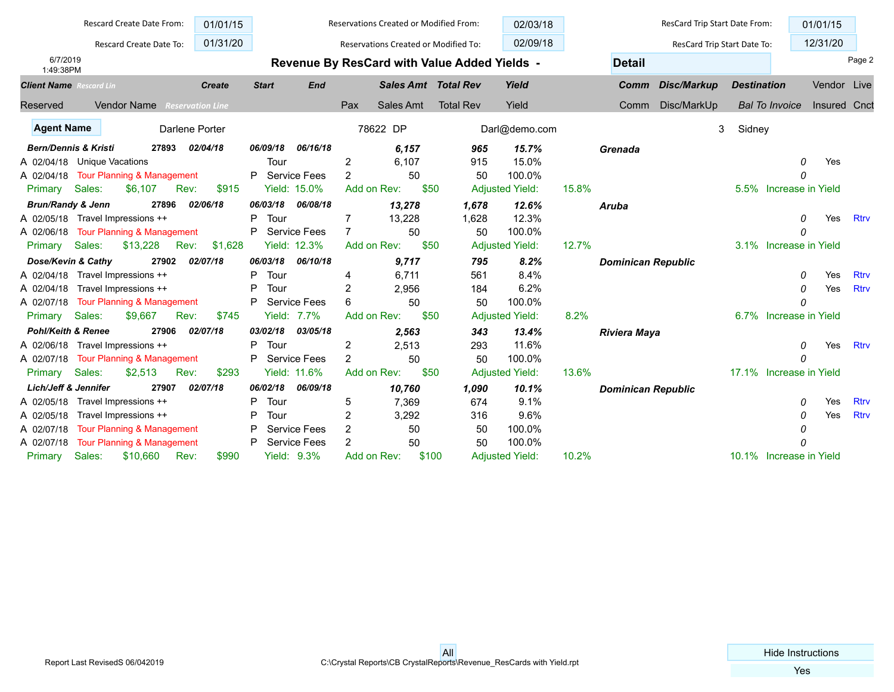|                                       |                       | Rescard Create Date From:             |       |                         | 01/01/15 |              |                     |                | Reservations Created or Modified From: |       |                                              | 02/03/18               |       |                           | ResCard Trip Start Date From: |                    |                         | 01/01/15            |             |
|---------------------------------------|-----------------------|---------------------------------------|-------|-------------------------|----------|--------------|---------------------|----------------|----------------------------------------|-------|----------------------------------------------|------------------------|-------|---------------------------|-------------------------------|--------------------|-------------------------|---------------------|-------------|
|                                       |                       | Rescard Create Date To:               |       | 01/31/20                |          |              |                     |                | Reservations Created or Modified To:   |       |                                              | 02/09/18               |       |                           | ResCard Trip Start Date To:   |                    |                         | 12/31/20            |             |
| 6/7/2019<br>1:49:38PM                 |                       |                                       |       |                         |          |              |                     |                |                                        |       | Revenue By ResCard with Value Added Yields - |                        |       | <b>Detail</b>             |                               |                    |                         |                     | Page 2      |
| <b>Client Name</b> Rescard Lin        |                       |                                       |       | <b>Create</b>           |          | <b>Start</b> | <b>End</b>          |                | <b>Sales Amt Total Rev</b>             |       |                                              | Yield                  |       | Comm                      | Disc/Markup                   | <b>Destination</b> |                         | Vendor Live         |             |
| Reserved                              |                       | <b>Vendor Name</b>                    |       | <b>Reservation Line</b> |          |              |                     | Pax            | Sales Amt                              |       | <b>Total Rev</b>                             | Yield                  |       | Comm                      | Disc/MarkUp                   |                    | <b>Bal To Invoice</b>   | <b>Insured Cnct</b> |             |
| <b>Agent Name</b>                     |                       |                                       |       | Darlene Porter          |          |              |                     |                | 78622 DP                               |       |                                              | Darl@demo.com          |       |                           | 3                             | Sidney             |                         |                     |             |
| <b>Bern/Dennis &amp; Kristi</b>       |                       |                                       | 27893 | 02/04/18                |          | 06/09/18     | 06/16/18            |                | 6,157                                  |       | 965                                          | 15.7%                  |       | Grenada                   |                               |                    |                         |                     |             |
| A 02/04/18 Unique Vacations           |                       |                                       |       |                         |          | Tour         |                     | 2              | 6,107                                  |       | 915                                          | 15.0%                  |       |                           |                               |                    | 0                       | Yes                 |             |
| A 02/04/18 Tour Planning & Management |                       |                                       |       |                         |          | P            | <b>Service Fees</b> | $\overline{2}$ | 50                                     |       | 50                                           | 100.0%                 |       |                           |                               |                    | 0                       |                     |             |
| Primary                               | Sales:                | \$6,107                               |       | Rev:                    | \$915    |              | Yield: 15.0%        |                | Add on Rev:                            | \$50  |                                              | <b>Adjusted Yield:</b> | 15.8% |                           |                               |                    | 5.5% Increase in Yield  |                     |             |
| <b>Brun/Randy &amp; Jenn</b>          |                       |                                       | 27896 | 02/06/18                |          | 06/03/18     | 06/08/18            |                | 13,278                                 |       | 1,678                                        | 12.6%                  |       | Aruba                     |                               |                    |                         |                     |             |
| A 02/05/18 Travel Impressions ++      |                       |                                       |       |                         |          | P<br>Tour    |                     | 7              | 13,228                                 |       | 1,628                                        | 12.3%                  |       |                           |                               |                    | n                       | Yes                 | <b>Rtrv</b> |
| A 02/06/18 Tour Planning & Management |                       |                                       |       |                         |          | P            | Service Fees        | $\overline{7}$ | 50                                     |       | 50                                           | 100.0%                 |       |                           |                               |                    | 0                       |                     |             |
| Primary                               | Sales:                | \$13,228                              |       | Rev:                    | \$1,628  |              | Yield: 12.3%        |                | Add on Rev:                            | \$50  |                                              | <b>Adjusted Yield:</b> | 12.7% |                           |                               |                    | 3.1% Increase in Yield  |                     |             |
| Dose/Kevin & Cathy                    |                       |                                       | 27902 | 02/07/18                |          | 06/03/18     | 06/10/18            |                | 9,717                                  |       | 795                                          | 8.2%                   |       | <b>Dominican Republic</b> |                               |                    |                         |                     |             |
| A 02/04/18 Travel Impressions ++      |                       |                                       |       |                         |          | P<br>Tour    |                     | 4              | 6,711                                  |       | 561                                          | 8.4%                   |       |                           |                               |                    | 0                       | Yes                 | <b>Rtrv</b> |
| A 02/04/18                            |                       | Travel Impressions ++                 |       |                         |          | P<br>Tour    |                     | 2              | 2,956                                  |       | 184                                          | 6.2%                   |       |                           |                               |                    | 0                       | Yes                 | <b>Rtrv</b> |
| A 02/07/18                            |                       | <b>Tour Planning &amp; Management</b> |       |                         |          | P            | <b>Service Fees</b> | 6              | 50                                     |       | 50                                           | 100.0%                 |       |                           |                               |                    | 0                       |                     |             |
| Primary                               | Sales:                | \$9,667                               |       | Rev:                    | \$745    |              | Yield: 7.7%         |                | Add on Rev:                            | \$50  |                                              | <b>Adjusted Yield:</b> | 8.2%  |                           |                               | 6.7%               | Increase in Yield       |                     |             |
| Pohl/Keith & Renee                    |                       |                                       | 27906 | 02/07/18                |          | 03/02/18     | 03/05/18            |                | 2,563                                  |       | 343                                          | 13.4%                  |       | <b>Riviera Maya</b>       |                               |                    |                         |                     |             |
| A 02/06/18                            | Travel Impressions ++ |                                       |       |                         |          | P.<br>Tour   |                     | 2              | 2,513                                  |       | 293                                          | 11.6%                  |       |                           |                               |                    | 0                       | Yes                 | <b>Rtrv</b> |
| A 02/07/18                            |                       | <b>Tour Planning &amp; Management</b> |       |                         |          | P            | <b>Service Fees</b> | $\overline{2}$ | 50                                     |       | 50                                           | 100.0%                 |       |                           |                               |                    | 0                       |                     |             |
| Primary                               | Sales:                | \$2,513                               |       | Rev:                    | \$293    |              | Yield: 11.6%        |                | Add on Rev:                            | \$50  |                                              | <b>Adjusted Yield:</b> | 13.6% |                           |                               |                    | 17.1% Increase in Yield |                     |             |
| <b>Lich/Jeff &amp; Jennifer</b>       |                       |                                       | 27907 | 02/07/18                |          | 06/02/18     | 06/09/18            |                | 10,760                                 |       | 1,090                                        | 10.1%                  |       | <b>Dominican Republic</b> |                               |                    |                         |                     |             |
| A 02/05/18                            | Travel Impressions ++ |                                       |       |                         |          | P<br>Tour    |                     | 5              | 7,369                                  |       | 674                                          | 9.1%                   |       |                           |                               |                    | 0                       | Yes                 | <b>Rtrv</b> |
| A 02/05/18                            |                       | Travel Impressions ++                 |       |                         |          | P<br>Tour    |                     | 2              | 3,292                                  |       | 316                                          | 9.6%                   |       |                           |                               |                    | 0                       | Yes                 | <b>Rtrv</b> |
| A 02/07/18                            |                       | <b>Tour Planning &amp; Management</b> |       |                         |          |              | <b>Service Fees</b> | 2              | 50                                     |       | 50                                           | 100.0%                 |       |                           |                               |                    | 0                       |                     |             |
| A 02/07/18                            |                       | <b>Tour Planning &amp; Management</b> |       |                         |          |              | <b>Service Fees</b> | 2              | 50                                     |       | 50                                           | 100.0%                 |       |                           |                               |                    | 0                       |                     |             |
| Primary                               | Sales:                | \$10,660                              |       | Rev:                    | \$990    |              | <b>Yield: 9.3%</b>  |                | Add on Rev:                            | \$100 |                                              | <b>Adjusted Yield:</b> | 10.2% |                           |                               |                    | 10.1% Increase in Yield |                     |             |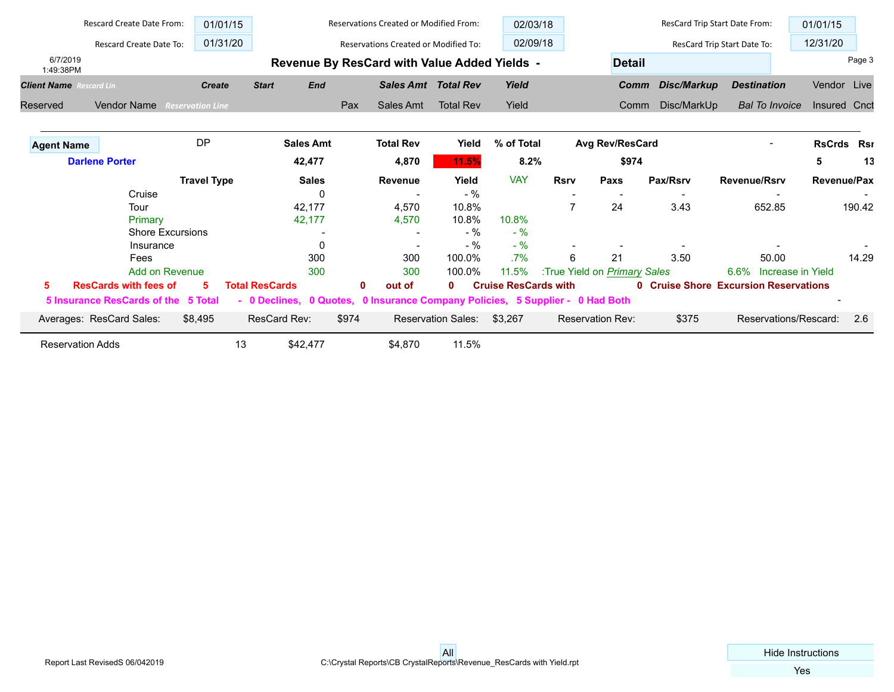|                                | Rescard Create Date From:<br>01/01/15 |                         |                       |                  |              | Reservations Created or Modified From:                                        |                           | 02/03/18                    |             |                              | ResCard Trip Start Date From: |                                              | 01/01/15            |        |
|--------------------------------|---------------------------------------|-------------------------|-----------------------|------------------|--------------|-------------------------------------------------------------------------------|---------------------------|-----------------------------|-------------|------------------------------|-------------------------------|----------------------------------------------|---------------------|--------|
|                                | Rescard Create Date To:               | 01/31/20                |                       |                  |              | <b>Reservations Created or Modified To:</b>                                   |                           | 02/09/18                    |             |                              |                               | ResCard Trip Start Date To:                  | 12/31/20            |        |
| 6/7/2019<br>1:49:38PM          |                                       |                         |                       |                  |              | Revenue By ResCard with Value Added Yields -                                  |                           |                             |             | <b>Detail</b>                |                               |                                              |                     | Page 3 |
| <b>Client Name</b> Rescard Lin |                                       | <b>Create</b>           | <b>Start</b>          | <b>End</b>       |              | <b>Sales Amt Total Rev</b>                                                    |                           | Yield                       |             | Comm                         | Disc/Markup                   | <b>Destination</b>                           | Vendor Live         |        |
| Reserved                       | <b>Vendor Name</b>                    | <b>Reservation Line</b> |                       |                  | Pax          | Sales Amt                                                                     | <b>Total Rev</b>          | Yield                       |             | Comm                         | Disc/MarkUp                   | <b>Bal To Invoice</b>                        | <b>Insured Cnct</b> |        |
| <b>Agent Name</b>              |                                       | <b>DP</b>               |                       | <b>Sales Amt</b> |              | <b>Total Rev</b>                                                              | Yield                     | % of Total                  |             | <b>Avg Rev/ResCard</b>       |                               | $\overline{\phantom{a}}$                     | <b>RsCrds Rsr</b>   |        |
|                                | <b>Darlene Porter</b>                 |                         |                       | 42,477           |              | 4,870                                                                         | 11.5%                     | 8.2%                        |             | \$974                        |                               |                                              | 5                   | 13     |
|                                |                                       | <b>Travel Type</b>      |                       | <b>Sales</b>     |              | <b>Revenue</b>                                                                | Yield                     | <b>VAY</b>                  | <b>Rsrv</b> | Paxs                         | Pax/Rsrv                      | <b>Revenue/Rsrv</b>                          | Revenue/Pax         |        |
|                                | Cruise                                |                         |                       | 0                |              |                                                                               | $-$ %                     |                             |             |                              |                               |                                              |                     |        |
|                                | Tour                                  |                         |                       | 42,177           |              | 4,570                                                                         | 10.8%                     |                             | 7           | 24                           | 3.43                          | 652.85                                       |                     | 190.42 |
|                                | Primary                               |                         |                       | 42,177           |              | 4,570                                                                         | 10.8%                     | 10.8%                       |             |                              |                               |                                              |                     |        |
|                                | <b>Shore Excursions</b>               |                         |                       |                  |              |                                                                               | $-$ %                     | $-$ %                       |             |                              |                               |                                              |                     |        |
|                                | Insurance                             |                         |                       |                  |              | $\overline{\phantom{a}}$                                                      | $-$ %                     | $-9/6$                      |             |                              |                               |                                              |                     |        |
|                                | Fees                                  |                         |                       | 300              |              | 300                                                                           | 100.0%                    | $.7\%$                      | 6           | 21                           | 3.50                          | 50.00                                        |                     | 14.29  |
|                                | Add on Revenue                        |                         |                       | 300              |              | 300                                                                           | 100.0%                    | 11.5%                       |             | :True Yield on Primary Sales |                               | 6.6% Increase in Yield                       |                     |        |
| 5                              | <b>ResCards with fees of</b>          | 5                       | <b>Total ResCards</b> |                  | $\mathbf{0}$ | out of                                                                        | $\mathbf{0}$              | <b>Cruise ResCards with</b> |             |                              |                               | <b>0 Cruise Shore Excursion Reservations</b> |                     |        |
|                                | 5 Insurance ResCards of the 5 Total   |                         |                       |                  |              | - 0 Declines, 0 Quotes, 0 Insurance Company Policies, 5 Supplier - 0 Had Both |                           |                             |             |                              |                               |                                              |                     |        |
|                                | Averages: ResCard Sales:              | \$8,495                 | ResCard Rev:          |                  | \$974        |                                                                               | <b>Reservation Sales:</b> | \$3,267                     |             | Reservation Rev:             | \$375                         | Reservations/Rescard:                        |                     | 2.6    |
|                                | <b>Reservation Adds</b>               |                         | 13                    | \$42,477         |              | \$4,870                                                                       | 11.5%                     |                             |             |                              |                               |                                              |                     |        |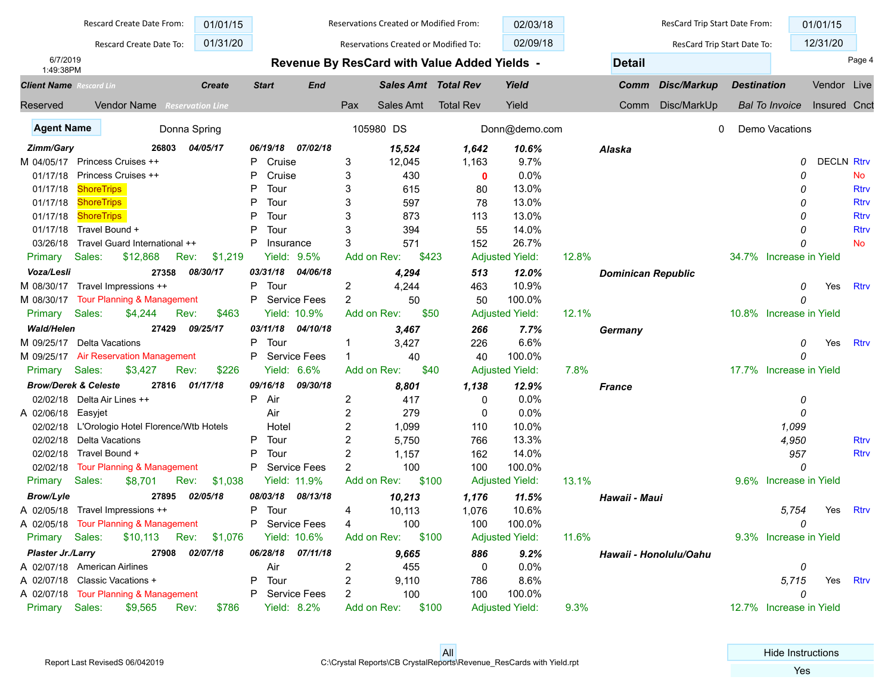|                                | Rescard Create Date From:                | 01/01/15              |                   |                     |                | Reservations Created or Modified From: |                                                     | 02/03/18               |       |                           | ResCard Trip Start Date From: |                    |                                    | 01/01/15          |             |
|--------------------------------|------------------------------------------|-----------------------|-------------------|---------------------|----------------|----------------------------------------|-----------------------------------------------------|------------------------|-------|---------------------------|-------------------------------|--------------------|------------------------------------|-------------------|-------------|
|                                | Rescard Create Date To:                  | 01/31/20              |                   |                     |                | Reservations Created or Modified To:   |                                                     | 02/09/18               |       |                           | ResCard Trip Start Date To:   |                    |                                    | 12/31/20          |             |
| 6/7/2019<br>1:49:38PM          |                                          |                       |                   |                     |                |                                        | <b>Revenue By ResCard with Value Added Yields -</b> |                        |       | <b>Detail</b>             |                               |                    |                                    |                   | Page 4      |
| <b>Client Name</b> Rescard Lin |                                          | <b>Create</b>         | <b>Start</b>      | <b>End</b>          |                | <b>Sales Amt Total Rev</b>             |                                                     | Yield                  |       | Comm                      | <b>Disc/Markup</b>            | <b>Destination</b> |                                    | Vendor Live       |             |
| Reserved                       | <b>Vendor Name</b> Reservation Line      |                       |                   |                     | Pax            | Sales Amt                              | <b>Total Rev</b>                                    | Yield                  |       | Comm                      | Disc/MarkUp                   |                    | <b>Bal To Invoice</b> Insured Cnct |                   |             |
| <b>Agent Name</b>              |                                          | Donna Spring          |                   |                     |                | 105980 DS                              |                                                     | Donn@demo.com          |       |                           | 0                             |                    | Demo Vacations                     |                   |             |
| Zimm/Gary                      | 26803                                    | 04/05/17              | 06/19/18          | 07/02/18            |                | 15,524                                 | 1,642                                               | 10.6%                  |       | Alaska                    |                               |                    |                                    |                   |             |
| M 04/05/17                     | Princess Cruises ++                      |                       | Cruise<br>P       |                     | 3              | 12,045                                 | 1,163                                               | 9.7%                   |       |                           |                               |                    | 0                                  | <b>DECLN Rtrv</b> |             |
| 01/17/18                       | Princess Cruises ++                      |                       | P<br>Cruise       |                     | 3              | 430                                    | 0                                                   | 0.0%                   |       |                           |                               |                    | 0                                  |                   | No          |
| 01/17/18                       | <b>ShoreTrips</b>                        |                       | P<br>Tour         |                     | 3              | 615                                    | 80                                                  | 13.0%                  |       |                           |                               |                    | O                                  |                   | <b>Rtrv</b> |
| 01/17/18                       | <b>ShoreTrips</b>                        |                       | D<br>Tour         |                     | 3              | 597                                    | 78                                                  | 13.0%                  |       |                           |                               |                    | O                                  |                   | <b>Rtrv</b> |
| 01/17/18                       | <b>ShoreTrips</b>                        |                       | D<br>Tour         |                     | 3              | 873                                    | 113                                                 | 13.0%                  |       |                           |                               |                    | O                                  |                   | <b>Rtrv</b> |
| 01/17/18                       | Travel Bound +                           |                       | D<br>Tour         |                     | 3              | 394                                    | 55                                                  | 14.0%                  |       |                           |                               |                    | O                                  |                   | <b>Rtrv</b> |
| 03/26/18                       | Travel Guard International ++            |                       | P<br>Insurance    |                     | 3              | 571                                    | 152                                                 | 26.7%                  |       |                           |                               |                    | 0                                  |                   | <b>No</b>   |
| Primary                        | Sales:<br>\$12,868                       | Rev:<br>\$1,219       | Yield:            | 9.5%                | Add on Rev:    | \$423                                  |                                                     | <b>Adjusted Yield:</b> | 12.8% |                           |                               |                    | 34.7% Increase in Yield            |                   |             |
| Voza/Lesli                     | 27358                                    | 08/30/17              | 03/31/18          | 04/06/18            |                | 4,294                                  | 513                                                 | 12.0%                  |       | <b>Dominican Republic</b> |                               |                    |                                    |                   |             |
| M 08/30/17                     | Travel Impressions ++                    |                       | Tour<br>P         |                     | 2              | 4,244                                  | 463                                                 | 10.9%                  |       |                           |                               |                    | 0                                  | Yes               | Rtrv        |
| M 08/30/17                     | <b>Tour Planning &amp; Management</b>    |                       | P                 | <b>Service Fees</b> | 2              | 50                                     | 50                                                  | 100.0%                 |       |                           |                               |                    | 0                                  |                   |             |
| Primary                        | Sales:<br>\$4,244                        | Rev:<br>\$463         |                   | Yield: 10.9%        | Add on Rev:    | \$50                                   |                                                     | <b>Adjusted Yield:</b> | 12.1% |                           |                               |                    | 10.8% Increase in Yield            |                   |             |
| <b>Wald/Helen</b>              | 27429                                    | 09/25/17              | 03/11/18          | 04/10/18            |                | 3,467                                  | 266                                                 | 7.7%                   |       | Germany                   |                               |                    |                                    |                   |             |
| M 09/25/17                     | Delta Vacations                          |                       | P<br>Tour         |                     |                | 3,427                                  | 226                                                 | 6.6%                   |       |                           |                               |                    | 0                                  | Yes               | <b>Rtrv</b> |
|                                | M 09/25/17 Air Reservation Management    |                       | P                 | <b>Service Fees</b> |                | 40                                     | 40                                                  | 100.0%                 |       |                           |                               |                    | 0                                  |                   |             |
| Primary Sales:                 | \$3,427                                  | \$226<br>Rev:         |                   | Yield: 6.6%         | Add on Rev:    | \$40                                   |                                                     | <b>Adjusted Yield:</b> | 7.8%  |                           |                               |                    | 17.7% Increase in Yield            |                   |             |
|                                | <b>Brow/Derek &amp; Celeste</b><br>27816 | 01/17/18              | 09/16/18          | 09/30/18            |                | 8,801                                  | 1,138                                               | 12.9%                  |       | <b>France</b>             |                               |                    |                                    |                   |             |
| 02/02/18                       | Delta Air Lines ++                       |                       | P<br>Air          |                     | $\overline{c}$ | 417                                    | 0                                                   | 0.0%                   |       |                           |                               |                    | 0                                  |                   |             |
| A 02/06/18                     | Easyjet                                  |                       | Air               |                     | 2              | 279                                    | 0                                                   | 0.0%                   |       |                           |                               |                    | 0                                  |                   |             |
| 02/02/18                       | L'Orologio Hotel Florence/Wtb Hotels     |                       | Hotel             |                     | 2              | 1,099                                  | 110                                                 | 10.0%                  |       |                           |                               |                    | 1,099                              |                   |             |
| 02/02/18                       | Delta Vacations                          |                       | P<br>Tour         |                     | $\overline{2}$ | 5,750                                  | 766                                                 | 13.3%                  |       |                           |                               |                    | 4,950                              |                   | <b>Rtrv</b> |
| 02/02/18                       | Travel Bound +                           |                       | P<br>Tour         |                     | $\overline{2}$ | 1,157                                  | 162                                                 | 14.0%                  |       |                           |                               |                    | 957                                |                   | <b>Rtrv</b> |
| 02/02/18                       | <b>Tour Planning &amp; Management</b>    |                       | P                 | <b>Service Fees</b> | $\overline{2}$ | 100                                    | 100                                                 | 100.0%                 |       |                           |                               |                    | 0                                  |                   |             |
| Primary                        | Sales:<br>\$8,701                        | \$1,038<br>Rev:       |                   | Yield: 11.9%        | Add on Rev:    | \$100                                  |                                                     | <b>Adjusted Yield:</b> | 13.1% |                           |                               |                    | 9.6% Increase in Yield             |                   |             |
| <b>Brow/Lyle</b>               | 27895                                    | 02/05/18              | 08/03/18          | 08/13/18            |                | 10,213                                 | 1,176                                               | 11.5%                  |       | Hawaii - Maui             |                               |                    |                                    |                   |             |
|                                | A 02/05/18 Travel Impressions ++         |                       | Tour<br>Ρ         |                     | 4              | 10,113                                 | 1,076                                               | 10.6%                  |       |                           |                               |                    | 5.754                              | Yes               | Rtrv        |
|                                | A 02/05/18 Tour Planning & Management    |                       | P Service Fees    |                     | $\overline{4}$ | 100                                    | 100                                                 | 100.0%                 |       |                           |                               |                    |                                    |                   |             |
| Primary Sales:                 |                                          | \$10,113 Rev: \$1,076 |                   | Yield: 10.6%        |                | Add on Rev: \$100                      |                                                     | <b>Adjusted Yield:</b> | 11.6% |                           |                               |                    | 9.3% Increase in Yield             |                   |             |
| Plaster Jr./Larry              |                                          | 27908 02/07/18        | 06/28/18 07/11/18 |                     |                | 9,665                                  | 886                                                 | 9.2%                   |       |                           | Hawaii - Honolulu/Oahu        |                    |                                    |                   |             |
|                                | A 02/07/18 American Airlines             |                       | Air               |                     | 2              | 455                                    | 0                                                   | 0.0%                   |       |                           |                               |                    | 0                                  |                   |             |
|                                | A 02/07/18 Classic Vacations +           |                       | Tour<br>P.        |                     | 2              | 9,110                                  | 786                                                 | 8.6%                   |       |                           |                               |                    | 5,715                              | Yes               | Rtrv        |
|                                | A 02/07/18 Tour Planning & Management    |                       | P Service Fees    |                     | 2              | 100                                    | 100                                                 | 100.0%                 |       |                           |                               |                    | 0                                  |                   |             |
| Primary Sales:                 | \$9,565                                  | \$786<br>Rev:         |                   | <b>Yield: 8.2%</b>  | Add on Rev:    | \$100                                  |                                                     | <b>Adjusted Yield:</b> | 9.3%  |                           |                               |                    | 12.7% Increase in Yield            |                   |             |
|                                |                                          |                       |                   |                     |                |                                        |                                                     |                        |       |                           |                               |                    |                                    |                   |             |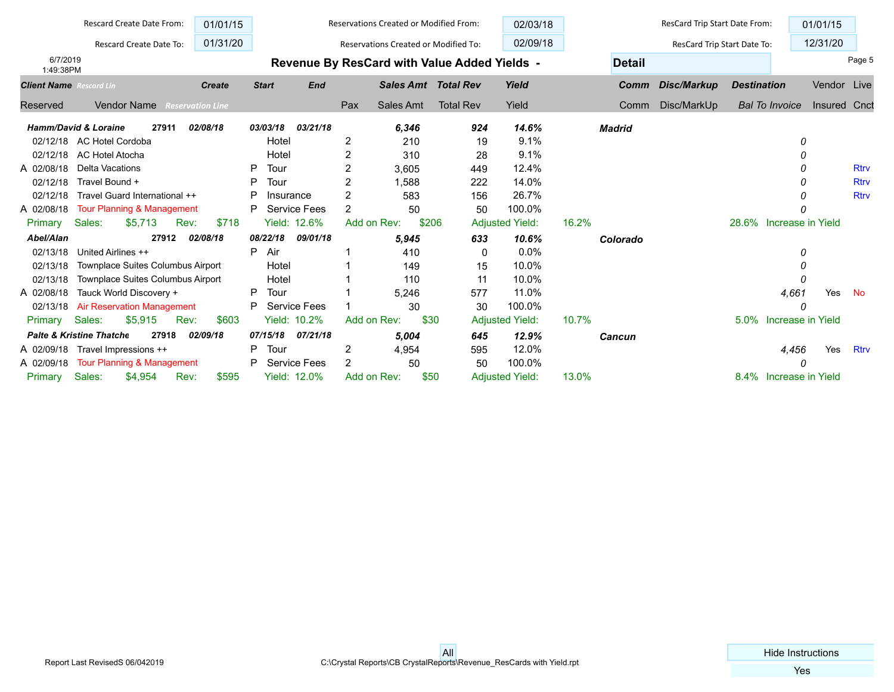|                                | Rescard Create Date From:                    | 01/01/15                |                |                     |                | Reservations Created or Modified From: |                                              | 02/03/18               |               | ResCard Trip Start Date From: |                         |                   | 01/01/15     |             |
|--------------------------------|----------------------------------------------|-------------------------|----------------|---------------------|----------------|----------------------------------------|----------------------------------------------|------------------------|---------------|-------------------------------|-------------------------|-------------------|--------------|-------------|
|                                | Rescard Create Date To:                      | 01/31/20                |                |                     |                | Reservations Created or Modified To:   |                                              | 02/09/18               |               | ResCard Trip Start Date To:   |                         |                   | 12/31/20     |             |
| 6/7/2019<br>1:49:38PM          |                                              |                         |                |                     |                |                                        | Revenue By ResCard with Value Added Yields - |                        | <b>Detail</b> |                               |                         |                   |              | Page 5      |
| <b>Client Name</b> Rescard Lin |                                              | <b>Create</b>           | <b>Start</b>   | <b>End</b>          |                | <b>Sales Amt</b> Total Rev             |                                              | Yield                  | Comm          | Disc/Markup                   | <b>Destination</b>      |                   | Vendor       | Live        |
| Reserved                       | <b>Vendor Name</b>                           | <b>Reservation Line</b> |                |                     | Pax            | Sales Amt                              | <b>Total Rev</b>                             | Yield                  | Comm          | Disc/MarkUp                   | <b>Bal To Invoice</b>   |                   | Insured Cnct |             |
|                                | <b>Hamm/David &amp; Loraine</b><br>27911     | 02/08/18                | 03/03/18       | 03/21/18            |                | 6,346                                  | 924                                          | 14.6%                  | <b>Madrid</b> |                               |                         |                   |              |             |
| 02/12/18                       | AC Hotel Cordoba                             |                         | Hotel          |                     | 2              | 210                                    | 19                                           | 9.1%                   |               |                               |                         | 0                 |              |             |
| 02/12/18                       | AC Hotel Atocha                              |                         | Hotel          |                     | 2              | 310                                    | 28                                           | 9.1%                   |               |                               |                         | 0                 |              |             |
| A 02/08/18                     | <b>Delta Vacations</b>                       |                         | Tour<br>P      |                     | 2              | 3,605                                  | 449                                          | 12.4%                  |               |                               |                         | 0                 |              | <b>Rtrv</b> |
| 02/12/18                       | Travel Bound +                               |                         | Tour<br>P      |                     | 2              | 1,588                                  | 222                                          | 14.0%                  |               |                               |                         | O                 |              | <b>Rtrv</b> |
| 02/12/18                       | Travel Guard International ++                |                         | P<br>Insurance |                     | $\overline{2}$ | 583                                    | 156                                          | 26.7%                  |               |                               |                         |                   |              | <b>Rtrv</b> |
| A 02/08/18                     | <b>Tour Planning &amp; Management</b>        |                         | P              | <b>Service Fees</b> | 2              | 50                                     | 50                                           | 100.0%                 |               |                               |                         |                   |              |             |
| Primary                        | Sales:<br>\$5,713<br>Rev:                    | \$718                   |                | Yield: 12.6%        | Add on Rev:    | \$206                                  |                                              | <b>Adjusted Yield:</b> | 16.2%         |                               | 28.6% Increase in Yield |                   |              |             |
| Abel/Alan                      | 27912                                        | 02/08/18                | 08/22/18       | 09/01/18            |                | 5,945                                  | 633                                          | 10.6%                  | Colorado      |                               |                         |                   |              |             |
| 02/13/18                       | United Airlines ++                           |                         | Air<br>P       |                     |                | 410                                    | 0                                            | 0.0%                   |               |                               |                         | 0                 |              |             |
| 02/13/18                       | Townplace Suites Columbus Airport            |                         | Hotel          |                     |                | 149                                    | 15                                           | 10.0%                  |               |                               |                         |                   |              |             |
| 02/13/18                       | Townplace Suites Columbus Airport            |                         | Hotel          |                     |                | 110                                    | 11                                           | 10.0%                  |               |                               |                         | 0                 |              |             |
| A 02/08/18                     | Tauck World Discovery +                      |                         | Tour<br>P      |                     |                | 5.246                                  | 577                                          | 11.0%                  |               |                               |                         | 4,661             | Yes          | <b>No</b>   |
| 02/13/18                       | <b>Air Reservation Management</b>            |                         | P              | Service Fees        |                | 30                                     | 30                                           | 100.0%                 |               |                               |                         | 0                 |              |             |
| Primary                        | \$5,915<br>Sales:<br>Rev:                    | \$603                   |                | Yield: 10.2%        | Add on Rev:    | \$30                                   |                                              | <b>Adjusted Yield:</b> | 10.7%         |                               | 5.0%                    | Increase in Yield |              |             |
|                                | <b>Palte &amp; Kristine Thatche</b><br>27918 | 02/09/18                | 07/15/18       | 07/21/18            |                | 5,004                                  | 645                                          | 12.9%                  | Cancun        |                               |                         |                   |              |             |
| A 02/09/18                     | Travel Impressions ++                        |                         | Tour<br>P      |                     | 2              | 4,954                                  | 595                                          | 12.0%                  |               |                               |                         | 4,456             | Yes          | <b>Rtrv</b> |
| A 02/09/18                     | <b>Tour Planning &amp; Management</b>        |                         | P              | <b>Service Fees</b> | $\overline{2}$ | 50                                     | 50                                           | 100.0%                 |               |                               |                         | O                 |              |             |
| Primary                        | Sales:<br>\$4,954<br>Rev:                    | \$595                   |                | Yield: 12.0%        | Add on Rev:    | \$50                                   |                                              | <b>Adjusted Yield:</b> | 13.0%         |                               | 8.4% Increase in Yield  |                   |              |             |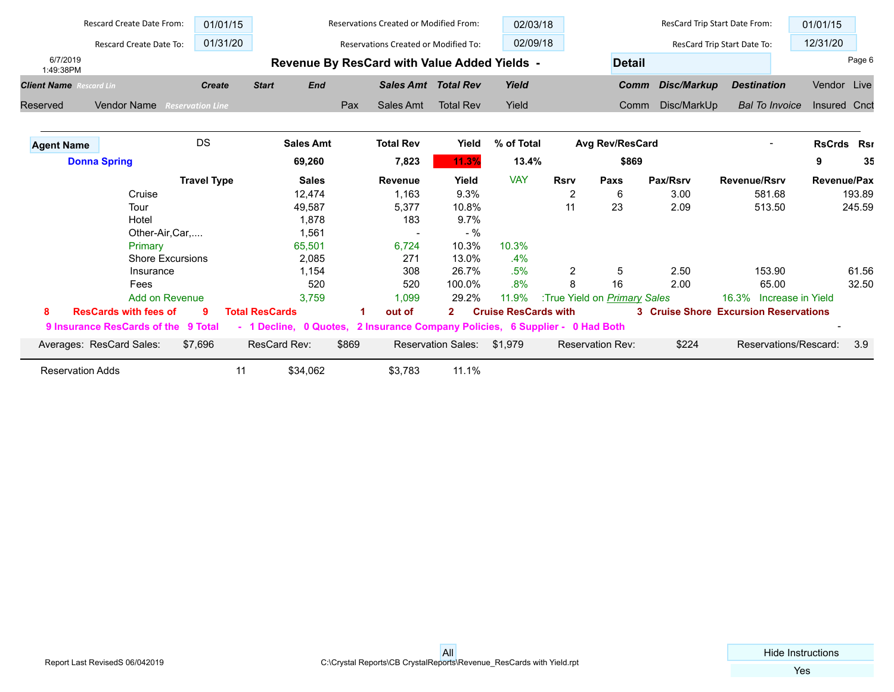|                                | Rescard Create Date From:           | 01/01/15                |                        |            | <b>Reservations Created or Modified From:</b>         |                           | 02/03/18                    |             |                                     | ResCard Trip Start Date From: |                                              | 01/01/15          |        |
|--------------------------------|-------------------------------------|-------------------------|------------------------|------------|-------------------------------------------------------|---------------------------|-----------------------------|-------------|-------------------------------------|-------------------------------|----------------------------------------------|-------------------|--------|
|                                | Rescard Create Date To:             | 01/31/20                |                        |            | <b>Reservations Created or Modified To:</b>           |                           | 02/09/18                    |             |                                     |                               | ResCard Trip Start Date To:                  | 12/31/20          |        |
| 6/7/2019<br>1:49:38PM          |                                     |                         |                        |            | Revenue By ResCard with Value Added Yields -          |                           |                             |             | <b>Detail</b>                       |                               |                                              |                   | Page 6 |
| <b>Client Name</b> Rescard Lin |                                     | <b>Create</b>           | <b>Start</b>           | <b>End</b> | <b>Sales Amt Total Rev</b>                            |                           | Yield                       |             | Comm                                | Disc/Markup                   | <b>Destination</b>                           | Vendor Live       |        |
| Reserved                       | <b>Vendor Name</b>                  | <b>Reservation Line</b> |                        | Pax        | Sales Amt                                             | <b>Total Rev</b>          | Yield                       |             | Comm                                | Disc/MarkUp                   | <b>Bal To Invoice</b>                        | Insured Cnct      |        |
| <b>Agent Name</b>              |                                     | <b>DS</b>               | <b>Sales Amt</b>       |            | <b>Total Rev</b>                                      | Yield                     | % of Total                  |             | <b>Avg Rev/ResCard</b>              |                               |                                              | <b>RsCrds Rsr</b> |        |
|                                | <b>Donna Spring</b>                 |                         | 69,260                 |            | 7,823                                                 | 11.3%                     | 13.4%                       |             | \$869                               |                               |                                              | 9                 | 35     |
|                                |                                     | <b>Travel Type</b>      | <b>Sales</b>           |            | <b>Revenue</b>                                        | Yield                     | <b>VAY</b>                  | <b>Rsrv</b> | Paxs                                | Pax/Rsrv                      | <b>Revenue/Rsrv</b>                          | Revenue/Pax       |        |
|                                | Cruise                              |                         | 12,474                 |            | 1,163                                                 | 9.3%                      |                             | 2           | 6                                   | 3.00                          | 581.68                                       |                   | 193.89 |
|                                | Tour                                |                         | 49,587                 |            | 5,377                                                 | 10.8%                     |                             | 11          | 23                                  | 2.09                          | 513.50                                       |                   | 245.59 |
|                                | Hotel                               |                         | 1,878                  |            | 183                                                   | 9.7%                      |                             |             |                                     |                               |                                              |                   |        |
|                                | Other-Air, Car,                     |                         | 1,561                  |            |                                                       | $-$ %                     |                             |             |                                     |                               |                                              |                   |        |
|                                | Primary                             |                         | 65,501                 |            | 6,724                                                 | 10.3%                     | 10.3%                       |             |                                     |                               |                                              |                   |        |
|                                | <b>Shore Excursions</b>             |                         | 2,085                  |            | 271                                                   | 13.0%                     | $.4\%$                      |             |                                     |                               |                                              |                   |        |
|                                | Insurance                           |                         | 1,154                  |            | 308                                                   | 26.7%                     | .5%                         | 2           | 5                                   | 2.50                          | 153.90                                       |                   | 61.56  |
|                                | Fees                                |                         |                        | 520        | 520                                                   | 100.0%                    | .8%                         | 8           | 16                                  | 2.00                          | 65.00                                        |                   | 32.50  |
|                                | Add on Revenue                      |                         | 3.759                  |            | 1,099                                                 | 29.2%                     | 11.9%                       |             | :True Yield on <b>Primary Sales</b> |                               | 16.3% Increase in Yield                      |                   |        |
| 8                              | <b>ResCards with fees of</b>        |                         | <b>Total ResCards</b>  |            | out of                                                | $\mathbf{2}^-$            | <b>Cruise ResCards with</b> |             |                                     |                               | <b>3 Cruise Shore Excursion Reservations</b> |                   |        |
|                                | 9 Insurance ResCards of the 9 Total |                         | - 1 Decline, 0 Quotes, |            | 2 Insurance Company Policies, 6 Supplier - 0 Had Both |                           |                             |             |                                     |                               |                                              |                   |        |
|                                | Averages: ResCard Sales:            | \$7,696                 | ResCard Rev:           | \$869      |                                                       | <b>Reservation Sales:</b> | \$1,979                     |             | <b>Reservation Rev:</b>             | \$224                         | Reservations/Rescard:                        |                   | 3.9    |
|                                | <b>Reservation Adds</b>             | 11                      | \$34.062               |            | \$3.783                                               | 11.1%                     |                             |             |                                     |                               |                                              |                   |        |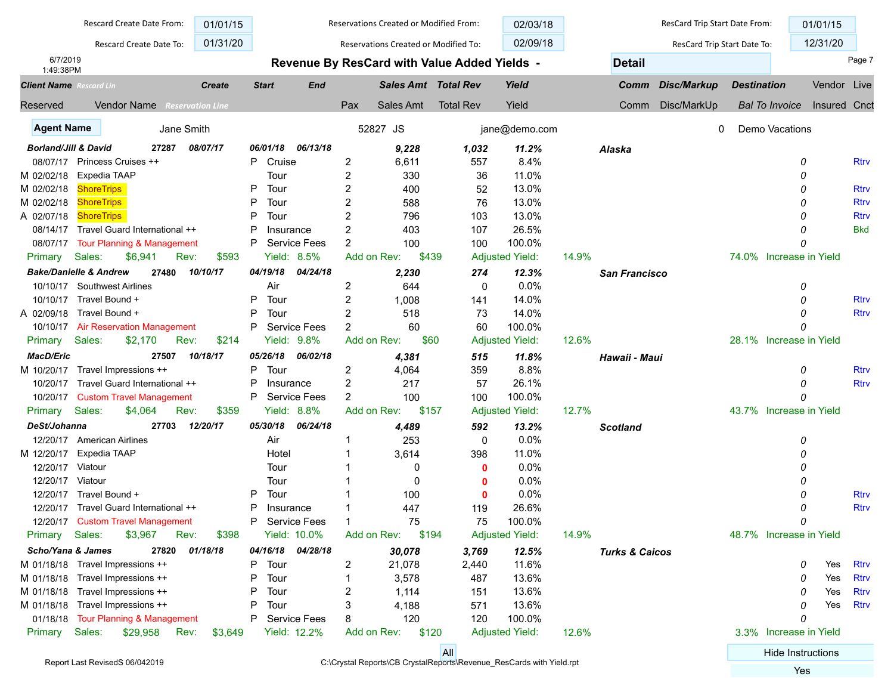|                                             |                                        | Rescard Create Date From: | 01/01/15                            |                |                     |                | Reservations Created or Modified From:                               |                  | 02/03/18               |       |                           | ResCard Trip Start Date From: |                    |                          | 01/01/15     |             |
|---------------------------------------------|----------------------------------------|---------------------------|-------------------------------------|----------------|---------------------|----------------|----------------------------------------------------------------------|------------------|------------------------|-------|---------------------------|-------------------------------|--------------------|--------------------------|--------------|-------------|
|                                             |                                        | Rescard Create Date To:   | 01/31/20                            |                |                     |                | Reservations Created or Modified To:                                 |                  | 02/09/18               |       |                           | ResCard Trip Start Date To:   |                    |                          | 12/31/20     |             |
| 6/7/2019                                    |                                        |                           |                                     |                |                     |                | Revenue By ResCard with Value Added Yields -                         |                  |                        |       | <b>Detail</b>             |                               |                    |                          |              | Page 7      |
| 1:49:38PM<br><b>Client Name</b> Rescard Lin |                                        |                           | <b>Create</b>                       | <b>Start</b>   | <b>End</b>          |                | <b>Sales Amt Total Rev</b>                                           |                  | Yield                  |       | Comm                      | <b>Disc/Markup</b>            | <b>Destination</b> |                          | Vendor Live  |             |
| Reserved                                    |                                        |                           | <b>Vendor Name</b> Reservation Line |                |                     | Pax            | Sales Amt                                                            | <b>Total Rev</b> | Yield                  |       | Comm                      | Disc/MarkUp                   |                    | <b>Bal To Invoice</b>    | Insured Cnct |             |
| <b>Agent Name</b>                           |                                        |                           | Jane Smith                          |                |                     |                | 52827 JS                                                             |                  | jane@demo.com          |       |                           | 0                             |                    | Demo Vacations           |              |             |
| <b>Borland/Jill &amp; David</b>             |                                        | 27287                     | 08/07/17                            | 06/01/18       | 06/13/18            |                | 9,228                                                                | 1,032            | 11.2%                  |       | Alaska                    |                               |                    |                          |              |             |
|                                             | 08/07/17 Princess Cruises ++           |                           |                                     | P Cruise       |                     | 2              | 6,611                                                                | 557              | 8.4%                   |       |                           |                               |                    |                          | 0            | <b>Rtrv</b> |
| M 02/02/18                                  | Expedia TAAP                           |                           |                                     | Tour           |                     | 2              | 330                                                                  | 36               | 11.0%                  |       |                           |                               |                    |                          | 0            |             |
| M 02/02/18                                  | <b>ShoreTrips</b>                      |                           |                                     | Р<br>Tour      |                     | 2              | 400                                                                  | 52               | 13.0%                  |       |                           |                               |                    |                          | 0            | <b>Rtrv</b> |
| M 02/02/18                                  | <b>ShoreTrips</b>                      |                           |                                     | Tour           |                     | 2              | 588                                                                  | 76               | 13.0%                  |       |                           |                               |                    |                          | 0            | <b>Rtrv</b> |
| A 02/07/18                                  | <b>ShoreTrips</b>                      |                           |                                     | Tour           |                     | 2              | 796                                                                  | 103              | 13.0%                  |       |                           |                               |                    |                          | O            | <b>Rtrv</b> |
|                                             | 08/14/17 Travel Guard International ++ |                           |                                     | Insurance      |                     | 2              | 403                                                                  | 107              | 26.5%                  |       |                           |                               |                    |                          | 0            | <b>Bkd</b>  |
|                                             | 08/07/17 Tour Planning & Management    |                           |                                     | P              | <b>Service Fees</b> | 2              | 100                                                                  | 100              | 100.0%                 |       |                           |                               |                    |                          | O            |             |
| Primary                                     | Sales:                                 | \$6,941                   | \$593<br>Rev:                       |                | Yield: 8.5%         |                | Add on Rev:<br>\$439                                                 |                  | <b>Adjusted Yield:</b> | 14.9% |                           |                               |                    | 74.0% Increase in Yield  |              |             |
|                                             |                                        |                           |                                     |                |                     |                |                                                                      |                  |                        |       |                           |                               |                    |                          |              |             |
|                                             | <b>Bake/Danielle &amp; Andrew</b>      | 27480                     | 10/10/17                            | 04/19/18       | 04/24/18            |                | 2,230                                                                | 274              | 12.3%                  |       | <b>San Francisco</b>      |                               |                    |                          |              |             |
|                                             | 10/10/17 Southwest Airlines            |                           |                                     | Air            |                     | $\overline{c}$ | 644                                                                  | 0                | 0.0%                   |       |                           |                               |                    |                          | 0            |             |
| 10/10/17                                    | Travel Bound +                         |                           |                                     | Ρ<br>Tour      |                     | 2              | 1,008                                                                | 141              | 14.0%                  |       |                           |                               |                    |                          | 0            | Rtrv        |
|                                             | A 02/09/18 Travel Bound +              |                           |                                     | Tour           |                     | 2              | 518                                                                  | 73               | 14.0%                  |       |                           |                               |                    |                          |              | <b>Rtrv</b> |
|                                             | 10/10/17 Air Reservation Management    |                           |                                     | P              | Service Fees        | 2              | 60                                                                   | 60               | 100.0%                 |       |                           |                               |                    |                          |              |             |
| Primary                                     | Sales:                                 | \$2,170                   | \$214<br>Rev:                       |                | Yield: 9.8%         |                | \$60<br>Add on Rev:                                                  |                  | <b>Adjusted Yield:</b> | 12.6% |                           |                               |                    | 28.1% Increase in Yield  |              |             |
| <b>MacD/Eric</b>                            |                                        | 27507                     | 10/18/17                            | 05/26/18       | 06/02/18            |                | 4,381                                                                | 515              | 11.8%                  |       | Hawaii - Maui             |                               |                    |                          |              |             |
| M 10/20/17                                  | Travel Impressions ++                  |                           |                                     | P<br>Tour      |                     | 2              | 4,064                                                                | 359              | 8.8%                   |       |                           |                               |                    |                          | 0            | <b>Rtrv</b> |
| 10/20/17                                    | Travel Guard International ++          |                           |                                     | Ρ<br>Insurance |                     | 2              | 217                                                                  | 57               | 26.1%                  |       |                           |                               |                    |                          | O            | <b>Rtrv</b> |
| 10/20/17                                    | <b>Custom Travel Management</b>        |                           |                                     | P              | <b>Service Fees</b> | $\overline{2}$ | 100                                                                  | 100              | 100.0%                 |       |                           |                               |                    |                          |              |             |
| Primary                                     | Sales:                                 | \$4,064                   | \$359<br>Rev:                       |                | Yield: 8.8%         |                | Add on Rev:<br>\$157                                                 |                  | <b>Adjusted Yield:</b> | 12.7% |                           |                               |                    | 43.7% Increase in Yield  |              |             |
| DeSt/Johanna                                |                                        | 27703                     | 12/20/17                            | 05/30/18       | 06/24/18            |                | 4,489                                                                | 592              | 13.2%                  |       | <b>Scotland</b>           |                               |                    |                          |              |             |
|                                             | 12/20/17 American Airlines             |                           |                                     | Air            |                     |                | 253                                                                  | 0                | 0.0%                   |       |                           |                               |                    |                          | 0            |             |
| M 12/20/17                                  | Expedia TAAP                           |                           |                                     | Hotel          |                     |                | 3,614                                                                | 398              | 11.0%                  |       |                           |                               |                    |                          | O            |             |
| 12/20/17                                    | Viatour                                |                           |                                     | Tour           |                     |                | 0                                                                    | 0                | 0.0%                   |       |                           |                               |                    |                          | O            |             |
| 12/20/17                                    | Viatour                                |                           |                                     | Tour           |                     |                | 0                                                                    |                  | 0.0%                   |       |                           |                               |                    |                          | O            |             |
| 12/20/17                                    | Travel Bound +                         |                           |                                     | Tour           |                     |                | 100                                                                  | 0                | 0.0%                   |       |                           |                               |                    |                          | n            | <b>Rtrv</b> |
| 12/20/17                                    | Travel Guard International ++          |                           |                                     | Insurance      |                     |                | 447                                                                  | 119              | 26.6%                  |       |                           |                               |                    |                          | 0            | <b>Rtrv</b> |
|                                             | 12/20/17 Custom Travel Management      |                           |                                     | P              | <b>Service Fees</b> |                | 75                                                                   | 75               | 100.0%                 |       |                           |                               |                    |                          | 0            |             |
| Primary Sales:                              |                                        | \$3,967                   | Rev:<br>\$398                       |                | <b>Yield: 10.0%</b> |                | Add on Rev: \$194                                                    |                  | <b>Adjusted Yield:</b> | 14.9% |                           |                               |                    | 48.7% Increase in Yield  |              |             |
| Scho/Yana & James                           |                                        | 27820                     | 01/18/18                            |                | 04/16/18 04/28/18   |                | 30,078                                                               | 3,769            | 12.5%                  |       | <b>Turks &amp; Caicos</b> |                               |                    |                          |              |             |
|                                             | M 01/18/18 Travel Impressions ++       |                           |                                     | Tour           |                     | 2              | 21,078                                                               | 2,440            | 11.6%                  |       |                           |                               |                    |                          | Yes<br>0     | <b>Rtrv</b> |
|                                             | M 01/18/18 Travel Impressions ++       |                           |                                     | Tour           |                     |                | 3,578                                                                | 487              | 13.6%                  |       |                           |                               |                    |                          | Yes<br>0     | Rtrv        |
|                                             | M 01/18/18 Travel Impressions ++       |                           |                                     | Tour           |                     | 2              | 1,114                                                                | 151              | 13.6%                  |       |                           |                               |                    |                          | Yes<br>0     | Rtrv        |
|                                             | M 01/18/18 Travel Impressions ++       |                           |                                     | Tour           |                     | 3              | 4,188                                                                | 571              | 13.6%                  |       |                           |                               |                    |                          | Yes<br>0     | Rtrv        |
|                                             | 01/18/18 Tour Planning & Management    |                           |                                     | P.             | Service Fees        | 8              | 120                                                                  | 120              | 100.0%                 |       |                           |                               |                    |                          | 0            |             |
|                                             | Primary Sales: \$29,958 Rev:           |                           | \$3,649                             |                | Yield: 12.2%        |                | Add on Rev: \$120                                                    |                  | <b>Adjusted Yield:</b> | 12.6% |                           |                               |                    | 3.3% Increase in Yield   |              |             |
|                                             |                                        |                           |                                     |                |                     |                |                                                                      |                  |                        |       |                           |                               |                    |                          |              |             |
|                                             | Report Last RevisedS 06/042019         |                           |                                     |                |                     |                | C:\Crystal Reports\CB CrystalReports\Revenue ResCards with Yield.rpt | All              |                        |       |                           |                               |                    | <b>Hide Instructions</b> |              |             |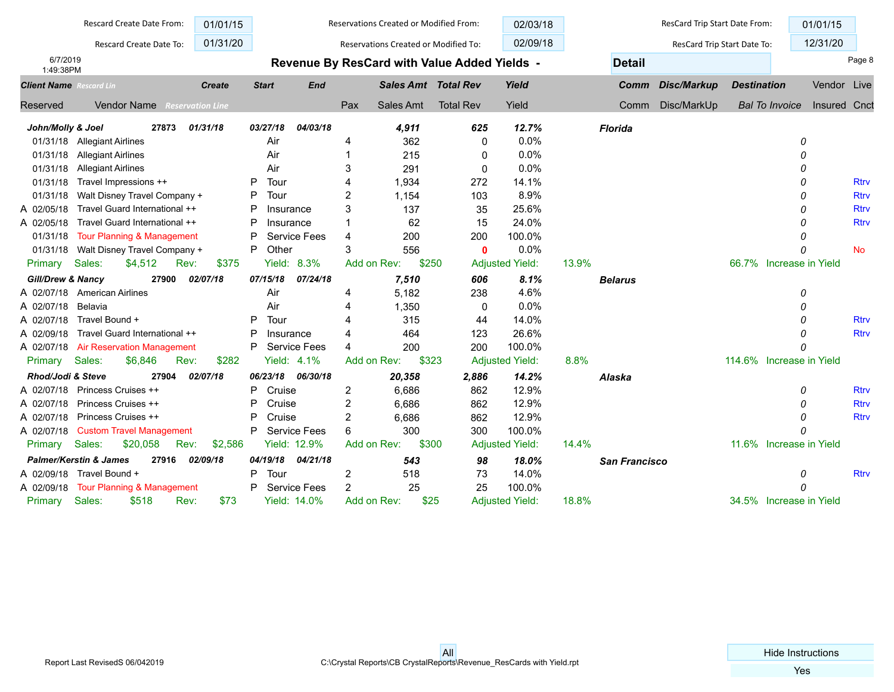|                                | Rescard Create Date From:                  | 01/01/15                |                |                     | Reservations Created or Modified From: |           |                                              | 02/03/18               |                | ResCard Trip Start Date From: |                    |                          | 01/01/15     |             |
|--------------------------------|--------------------------------------------|-------------------------|----------------|---------------------|----------------------------------------|-----------|----------------------------------------------|------------------------|----------------|-------------------------------|--------------------|--------------------------|--------------|-------------|
|                                | Rescard Create Date To:                    | 01/31/20                |                |                     | Reservations Created or Modified To:   |           |                                              | 02/09/18               |                | ResCard Trip Start Date To:   |                    |                          | 12/31/20     |             |
| 6/7/2019                       |                                            |                         |                |                     |                                        |           | Revenue By ResCard with Value Added Yields - |                        | <b>Detail</b>  |                               |                    |                          |              | Page 8      |
| 1:49:38PM                      |                                            |                         |                |                     |                                        |           |                                              |                        |                |                               |                    |                          |              |             |
| <b>Client Name</b> Rescard Lin |                                            | <b>Create</b>           | <b>Start</b>   | <b>End</b>          |                                        |           | <b>Sales Amt Total Rev</b>                   | Yield                  | Comm           | Disc/Markup                   | <b>Destination</b> |                          | Vendor Live  |             |
| <b>Reserved</b>                | <b>Vendor Name</b>                         | <b>Reservation Line</b> |                |                     | Pax                                    | Sales Amt | <b>Total Rev</b>                             | Yield                  | Comm           | Disc/MarkUp                   |                    | <b>Bal To Invoice</b>    | Insured Cnct |             |
| John/Molly & Joel              | 27873                                      | 01/31/18                | 03/27/18       | 04/03/18            |                                        | 4,911     | 625                                          | 12.7%                  | <b>Florida</b> |                               |                    |                          |              |             |
|                                | 01/31/18 Allegiant Airlines                |                         | Air            |                     | 4                                      | 362       | 0                                            | 0.0%                   |                |                               |                    | 0                        |              |             |
| 01/31/18                       | <b>Allegiant Airlines</b>                  |                         | Air            |                     | -1                                     | 215       | 0                                            | 0.0%                   |                |                               |                    | O                        |              |             |
| 01/31/18                       | <b>Allegiant Airlines</b>                  |                         | Air            |                     | 3                                      | 291       | $\mathbf 0$                                  | 0.0%                   |                |                               |                    | O                        |              |             |
| 01/31/18                       | Travel Impressions ++                      |                         | Tour<br>P      |                     | 4                                      | 1.934     | 272                                          | 14.1%                  |                |                               |                    | O                        |              | <b>Rtrv</b> |
| 01/31/18                       | Walt Disney Travel Company +               |                         | Tour<br>P      |                     | $\overline{c}$                         | 1,154     | 103                                          | 8.9%                   |                |                               |                    | O                        |              | <b>Rtrv</b> |
| A 02/05/18                     | Travel Guard International ++              |                         | P<br>Insurance |                     | 3                                      | 137       | 35                                           | 25.6%                  |                |                               |                    | 0                        |              | <b>Rtrv</b> |
| A 02/05/18                     | Travel Guard International ++              |                         | P<br>Insurance |                     | 1                                      | 62        | 15                                           | 24.0%                  |                |                               |                    | 0                        |              | <b>Rtrv</b> |
| 01/31/18                       | <b>Tour Planning &amp; Management</b>      |                         | P              | <b>Service Fees</b> | 4                                      | 200       | 200                                          | 100.0%                 |                |                               |                    | 0                        |              |             |
| 01/31/18                       | Walt Disney Travel Company +               |                         | P<br>Other     |                     | 3                                      | 556       | $\bf{0}$                                     | 0.0%                   |                |                               |                    | O                        |              | <b>No</b>   |
| Primary                        | Sales:<br>\$4,512                          | Rev:<br>\$375           | Yield:         | 8.3%                | Add on Rev:                            | \$250     |                                              | <b>Adjusted Yield:</b> | 13.9%          |                               |                    | 66.7% Increase in Yield  |              |             |
| <b>Gill/Drew &amp; Nancy</b>   | 27900                                      | 02/07/18                | 07/15/18       | 07/24/18            |                                        | 7,510     | 606                                          | 8.1%                   | <b>Belarus</b> |                               |                    |                          |              |             |
|                                | A 02/07/18 American Airlines               |                         | Air            |                     | 4                                      | 5.182     | 238                                          | 4.6%                   |                |                               |                    | 0                        |              |             |
| A 02/07/18                     | Belavia                                    |                         | Air            |                     | 4                                      | 1,350     | 0                                            | 0.0%                   |                |                               |                    | 0                        |              |             |
| A 02/07/18                     | Travel Bound +                             |                         | Tour<br>P      |                     | $\boldsymbol{\Lambda}$                 | 315       | 44                                           | 14.0%                  |                |                               |                    | $\Omega$                 |              | <b>Rtrv</b> |
| A 02/09/18                     | Travel Guard International ++              |                         | P<br>Insurance |                     | 4                                      | 464       | 123                                          | 26.6%                  |                |                               |                    | O                        |              | <b>Rtrv</b> |
| A 02/07/18                     | <b>Air Reservation Management</b>          |                         | P              | <b>Service Fees</b> | $\boldsymbol{\Lambda}$                 | 200       | 200                                          | 100.0%                 |                |                               |                    | O                        |              |             |
| Primary                        | Sales:<br>\$6,846<br>Rev:                  | \$282                   |                | Yield: $4.1\%$      | Add on Rev:                            | \$323     |                                              | <b>Adjusted Yield:</b> | 8.8%           |                               |                    | 114.6% Increase in Yield |              |             |
| Rhod/Jodi & Steve              | 27904                                      | 02/07/18                | 06/23/18       | 06/30/18            |                                        | 20,358    | 2,886                                        | 14.2%                  | Alaska         |                               |                    |                          |              |             |
| A 02/07/18                     | Princess Cruises ++                        |                         | Cruise<br>P    |                     | $\overline{c}$                         | 6,686     | 862                                          | 12.9%                  |                |                               |                    | 0                        |              | <b>Rtry</b> |
| A 02/07/18                     | Princess Cruises ++                        |                         | P<br>Cruise    |                     | 2                                      | 6,686     | 862                                          | 12.9%                  |                |                               |                    | O                        |              | <b>Rtrv</b> |
| A 02/07/18                     | Princess Cruises ++                        |                         | P<br>Cruise    |                     | 2                                      | 6,686     | 862                                          | 12.9%                  |                |                               |                    | 0                        |              | <b>Rtrv</b> |
| A 02/07/18                     | <b>Custom Travel Management</b>            |                         | P              | <b>Service Fees</b> | 6                                      | 300       | 300                                          | 100.0%                 |                |                               |                    | O                        |              |             |
| Primary                        | Sales:<br>\$20,058                         | Rev:<br>\$2,586         |                | Yield: 12.9%        | Add on Rev:                            | \$300     |                                              | <b>Adjusted Yield:</b> | 14.4%          |                               |                    | 11.6% Increase in Yield  |              |             |
|                                | <b>Palmer/Kerstin &amp; James</b><br>27916 | 02/09/18                | 04/19/18       | 04/21/18            |                                        | 543       | 98                                           | 18.0%                  | San Francisco  |                               |                    |                          |              |             |
|                                | A 02/09/18 Travel Bound +                  |                         | P<br>Tour      |                     | 2                                      | 518       | 73                                           | 14.0%                  |                |                               |                    | 0                        |              | <b>Rtrv</b> |
| A 02/09/18                     | Tour Planning & Management                 |                         | P              | <b>Service Fees</b> | $\overline{2}$                         | 25        | 25                                           | 100.0%                 |                |                               |                    | $\Omega$                 |              |             |
| Primary                        | Sales:<br>\$518                            | \$73<br>Rev:            |                | <b>Yield: 14.0%</b> | Add on Rev:                            | \$25      |                                              | <b>Adjusted Yield:</b> | 18.8%          |                               |                    | 34.5% Increase in Yield  |              |             |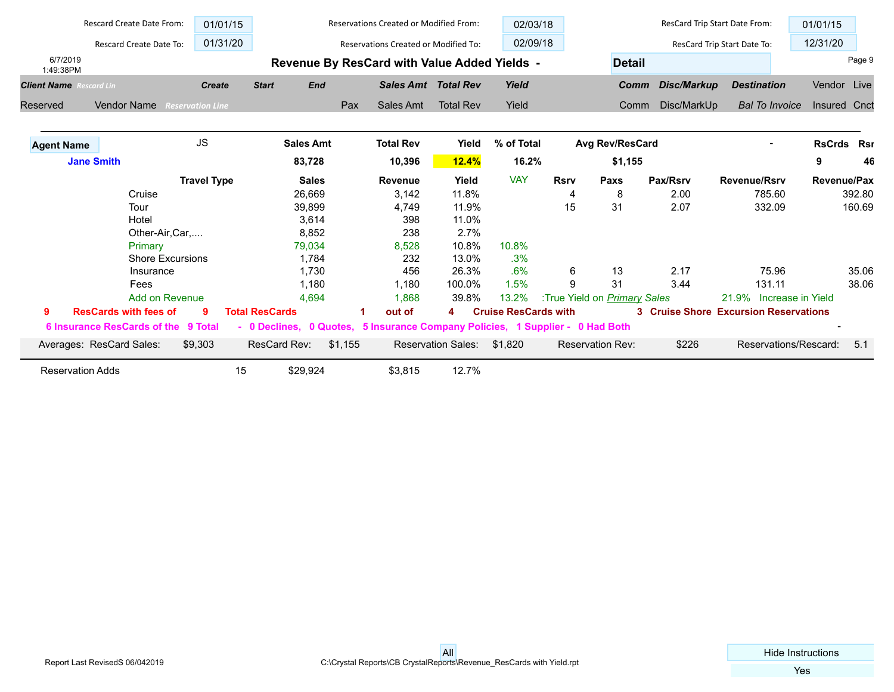|                                | Rescard Create Date From:           | 01/01/15                |                       |                  | Reservations Created or Modified From:                                        |                           | 02/03/18                    |             |                              | ResCard Trip Start Date From: |                                              | 01/01/15                 |        |
|--------------------------------|-------------------------------------|-------------------------|-----------------------|------------------|-------------------------------------------------------------------------------|---------------------------|-----------------------------|-------------|------------------------------|-------------------------------|----------------------------------------------|--------------------------|--------|
|                                | Rescard Create Date To:             | 01/31/20                |                       |                  | <b>Reservations Created or Modified To:</b>                                   |                           | 02/09/18                    |             |                              |                               | ResCard Trip Start Date To:                  | 12/31/20                 |        |
| 6/7/2019<br>1:49:38PM          |                                     |                         |                       |                  | Revenue By ResCard with Value Added Yields -                                  |                           |                             |             | <b>Detail</b>                |                               |                                              |                          | Page 9 |
| <b>Client Name</b> Rescard Lin |                                     | <b>Create</b>           | <b>Start</b>          | <b>End</b>       | <b>Sales Amt Total Rev</b>                                                    |                           | Yield                       |             | Comm                         | Disc/Markup                   | <b>Destination</b>                           | Vendor Live              |        |
| Reserved                       | Vendor Name                         | <b>Reservation Line</b> |                       | Pax              | Sales Amt                                                                     | <b>Total Rev</b>          | Yield                       |             | Comm                         | Disc/MarkUp                   | <b>Bal To Invoice</b>                        | Insured Cnct             |        |
| <b>Agent Name</b>              |                                     | <b>JS</b>               |                       | <b>Sales Amt</b> | <b>Total Rev</b>                                                              | Yield                     | % of Total                  |             | Avg Rev/ResCard              |                               |                                              | <b>RsCrds Rsr</b>        |        |
|                                | <b>Jane Smith</b>                   |                         |                       | 83,728           | 10,396                                                                        | 12.4%                     | 16.2%                       |             | \$1,155                      |                               |                                              | 9                        | 46     |
|                                |                                     | <b>Travel Type</b>      |                       | <b>Sales</b>     | <b>Revenue</b>                                                                | Yield                     | <b>VAY</b>                  | <b>Rsrv</b> | Paxs                         | Pax/Rsrv                      | <b>Revenue/Rsrv</b>                          | <b>Revenue/Pax</b>       |        |
|                                | Cruise                              |                         |                       | 26,669           | 3,142                                                                         | 11.8%                     |                             | 4           | 8                            | 2.00                          | 785.60                                       |                          | 392.80 |
|                                | Tour                                |                         |                       | 39,899           | 4,749                                                                         | 11.9%                     |                             | 15          | 31                           | 2.07                          | 332.09                                       |                          | 160.69 |
|                                | Hotel                               |                         |                       | 3,614            | 398                                                                           | 11.0%                     |                             |             |                              |                               |                                              |                          |        |
|                                | Other-Air, Car,                     |                         |                       | 8,852            | 238                                                                           | 2.7%                      |                             |             |                              |                               |                                              |                          |        |
|                                | Primary                             |                         |                       | 79,034           | 8,528                                                                         | 10.8%                     | 10.8%                       |             |                              |                               |                                              |                          |        |
|                                | <b>Shore Excursions</b>             |                         |                       | 1,784            | 232                                                                           | 13.0%                     | .3%                         |             |                              |                               |                                              |                          |        |
|                                | Insurance                           |                         |                       | 1,730            | 456                                                                           | 26.3%                     | .6%                         | 6           | 13                           | 2.17                          | 75.96                                        |                          | 35.06  |
|                                | Fees                                |                         |                       | 1,180            | 1,180                                                                         | 100.0%                    | 1.5%                        | 9           | 31                           | 3.44                          | 131.11                                       |                          | 38.06  |
|                                | Add on Revenue                      |                         |                       | 4,694            | 1,868                                                                         | 39.8%                     | 13.2%                       |             | :True Yield on Primary Sales |                               | 21.9% Increase in Yield                      |                          |        |
| 9                              | <b>ResCards with fees of</b>        | q                       | <b>Total ResCards</b> |                  | out of                                                                        | 4                         | <b>Cruise ResCards with</b> |             |                              |                               | <b>3 Cruise Shore Excursion Reservations</b> |                          |        |
|                                | 6 Insurance ResCards of the 9 Total |                         |                       |                  | - 0 Declines, 0 Quotes, 5 Insurance Company Policies, 1 Supplier - 0 Had Both |                           |                             |             |                              |                               |                                              | $\overline{\phantom{a}}$ |        |
|                                | Averages: ResCard Sales:            | \$9,303                 | ResCard Rev:          | \$1,155          |                                                                               | <b>Reservation Sales:</b> | \$1.820                     |             | <b>Reservation Rev:</b>      | \$226                         | Reservations/Rescard:                        |                          | 5.1    |
|                                | <b>Reservation Adds</b>             | 15                      | \$29,924              |                  | \$3,815                                                                       | 12.7%                     |                             |             |                              |                               |                                              |                          |        |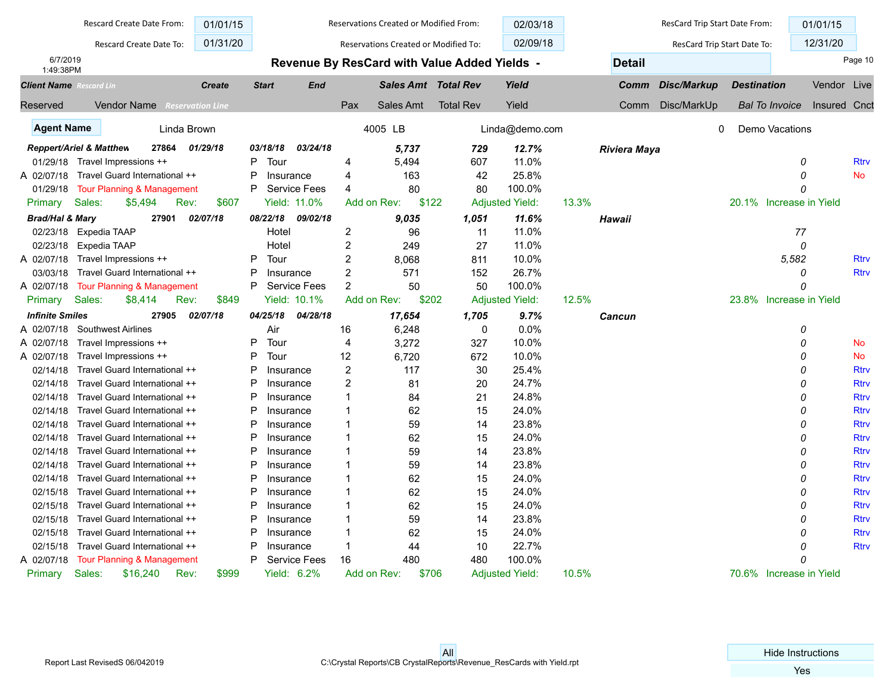|                                | Rescard Create Date From:                   | 01/01/15      |                |                     |                | Reservations Created or Modified From:       |                  | 02/03/18               |       |                     | ResCard Trip Start Date From: |                    |                         | 01/01/15            |             |
|--------------------------------|---------------------------------------------|---------------|----------------|---------------------|----------------|----------------------------------------------|------------------|------------------------|-------|---------------------|-------------------------------|--------------------|-------------------------|---------------------|-------------|
|                                | Rescard Create Date To:                     | 01/31/20      |                |                     |                | Reservations Created or Modified To:         |                  | 02/09/18               |       |                     | ResCard Trip Start Date To:   |                    |                         | 12/31/20            |             |
| 6/7/2019<br>1:49:38PM          |                                             |               |                |                     |                | Revenue By ResCard with Value Added Yields - |                  |                        |       | <b>Detail</b>       |                               |                    |                         |                     | Page 10     |
| <b>Client Name</b> Rescard Lin |                                             | <b>Create</b> | <b>Start</b>   | <b>End</b>          |                | <b>Sales Amt Total Rev</b>                   |                  | Yield                  |       | Comm                | <b>Disc/Markup</b>            | <b>Destination</b> |                         | Vendor Live         |             |
| Reserved                       | <b>Vendor Name</b> Reservation Line         |               |                |                     | Pax            | Sales Amt                                    | <b>Total Rev</b> | Yield                  |       | Comm                | Disc/MarkUp                   |                    | <b>Bal To Invoice</b>   | <b>Insured Cnct</b> |             |
| <b>Agent Name</b>              | Linda Brown                                 |               |                |                     |                | 4005 LB                                      |                  | Linda@demo.com         |       |                     | 0                             |                    | Demo Vacations          |                     |             |
|                                | <b>Reppert/Ariel &amp; Matthew</b><br>27864 | 01/29/18      | 03/18/18       | 03/24/18            |                | 5,737                                        | 729              | 12.7%                  |       | <b>Riviera Maya</b> |                               |                    |                         |                     |             |
|                                | 01/29/18 Travel Impressions ++              |               | P<br>Tour      |                     | 4              | 5,494                                        | 607              | 11.0%                  |       |                     |                               |                    | 0                       |                     | <b>Rtrv</b> |
| A 02/07/18                     | Travel Guard International ++               |               | P<br>Insurance |                     | 4              | 163                                          | 42               | 25.8%                  |       |                     |                               |                    | 0                       |                     | <b>No</b>   |
| 01/29/18                       | Tour Planning & Management                  |               | P              | <b>Service Fees</b> | 4              | 80                                           | 80               | 100.0%                 |       |                     |                               |                    | $\Omega$                |                     |             |
| Primary                        | Sales:<br>Rev:<br>\$5,494                   | \$607         |                | <b>Yield: 11.0%</b> |                | Add on Rev:<br>\$122                         |                  | <b>Adjusted Yield:</b> | 13.3% |                     |                               |                    | 20.1% Increase in Yield |                     |             |
| <b>Brad/Hal &amp; Mary</b>     | 27901                                       | 02/07/18      | 08/22/18       | 09/02/18            |                | 9,035                                        | 1,051            | 11.6%                  |       | Hawaii              |                               |                    |                         |                     |             |
| 02/23/18                       | Expedia TAAP                                |               | Hotel          |                     | $\overline{2}$ | 96                                           | 11               | 11.0%                  |       |                     |                               |                    | 77                      |                     |             |
| 02/23/18                       | Expedia TAAP                                |               | Hotel          |                     | $\overline{c}$ | 249                                          | 27               | 11.0%                  |       |                     |                               |                    | 0                       |                     |             |
| A 02/07/18                     | Travel Impressions ++                       |               | P<br>Tour      |                     | 2              | 8,068                                        | 811              | 10.0%                  |       |                     |                               |                    | 5,582                   |                     | <b>Rtrv</b> |
| 03/03/18                       | Travel Guard International ++               |               | P<br>Insurance |                     | $\overline{c}$ | 571                                          | 152              | 26.7%                  |       |                     |                               |                    | 0                       |                     | <b>Rtrv</b> |
| A 02/07/18                     | <b>Tour Planning &amp; Management</b>       |               | P              | <b>Service Fees</b> | $\overline{2}$ | 50                                           | 50               | 100.0%                 |       |                     |                               |                    | $\Omega$                |                     |             |
| Primary                        | Sales:<br>\$8,414<br>Rev:                   | \$849         |                | <b>Yield: 10.1%</b> |                | \$202<br>Add on Rev:                         |                  | <b>Adjusted Yield:</b> | 12.5% |                     |                               |                    | 23.8% Increase in Yield |                     |             |
| <b>Infinite Smiles</b>         | 27905                                       | 02/07/18      | 04/25/18       | 04/28/18            |                | 17,654                                       | 1,705            | 9.7%                   |       | Cancun              |                               |                    |                         |                     |             |
| A 02/07/18                     | <b>Southwest Airlines</b>                   |               | Air            |                     | 16             | 6,248                                        | $\mathbf 0$      | 0.0%                   |       |                     |                               |                    | 0                       |                     |             |
| A 02/07/18                     | Travel Impressions ++                       |               | P<br>Tour      |                     | 4              | 3,272                                        | 327              | 10.0%                  |       |                     |                               |                    | 0                       |                     | <b>No</b>   |
| A 02/07/18                     | Travel Impressions ++                       |               | P<br>Tour      |                     | 12             | 6,720                                        | 672              | 10.0%                  |       |                     |                               |                    | $\Omega$                |                     | <b>No</b>   |
| 02/14/18                       | Travel Guard International ++               |               | P<br>Insurance |                     | $\overline{2}$ | 117                                          | 30               | 25.4%                  |       |                     |                               |                    | 0                       |                     | <b>Rtrv</b> |
| 02/14/18                       | Travel Guard International ++               |               | P<br>Insurance |                     | 2              | 81                                           | 20               | 24.7%                  |       |                     |                               |                    | 0                       |                     | <b>Rtrv</b> |
| 02/14/18                       | Travel Guard International ++               |               | P<br>Insurance |                     | $\overline{1}$ | 84                                           | 21               | 24.8%                  |       |                     |                               |                    | 0                       |                     | <b>Rtrv</b> |
| 02/14/18                       | Travel Guard International ++               |               | P<br>Insurance |                     | -1             | 62                                           | 15               | 24.0%                  |       |                     |                               |                    | 0                       |                     | <b>Rtrv</b> |
| 02/14/18                       | Travel Guard International ++               |               | P<br>Insurance |                     | $\overline{1}$ | 59                                           | 14               | 23.8%                  |       |                     |                               |                    | 0                       |                     | <b>Rtrv</b> |
| 02/14/18                       | Travel Guard International ++               |               | P<br>Insurance |                     | -1             | 62                                           | 15               | 24.0%                  |       |                     |                               |                    | 0                       |                     | <b>Rtrv</b> |
| 02/14/18                       | Travel Guard International ++               |               | P<br>Insurance |                     | $\overline{1}$ | 59                                           | 14               | 23.8%                  |       |                     |                               |                    | $\Omega$                |                     | <b>Rtrv</b> |
| 02/14/18                       | Travel Guard International ++               |               | Ρ<br>Insurance |                     | $\overline{1}$ | 59                                           | 14               | 23.8%                  |       |                     |                               |                    | 0                       |                     | <b>Rtrv</b> |
| 02/14/18                       | Travel Guard International ++               |               | P<br>Insurance |                     | $\overline{1}$ | 62                                           | 15               | 24.0%                  |       |                     |                               |                    | 0                       |                     | <b>Rtrv</b> |
| 02/15/18                       | Travel Guard International ++               |               | P<br>Insurance |                     | -1             | 62                                           | 15               | 24.0%                  |       |                     |                               |                    | 0                       |                     | <b>Rtrv</b> |
| 02/15/18                       | Travel Guard International ++               |               | P<br>Insurance |                     | -1             | 62                                           | 15               | 24.0%                  |       |                     |                               |                    | 0                       |                     | <b>Rtrv</b> |
| 02/15/18                       | Travel Guard International ++               |               | P<br>Insurance |                     | -1             | 59                                           | 14               | 23.8%                  |       |                     |                               |                    | 0                       |                     | <b>Rtrv</b> |
| 02/15/18                       | Travel Guard International ++               |               | P<br>Insurance |                     | $\overline{1}$ | 62                                           | 15               | 24.0%                  |       |                     |                               |                    | 0                       |                     | <b>Rtrv</b> |
| 02/15/18                       | Travel Guard International ++               |               | P<br>Insurance |                     | $\overline{1}$ | 44                                           | 10               | 22.7%                  |       |                     |                               |                    |                         |                     | <b>Rtrv</b> |
| A 02/07/18                     | <b>Tour Planning &amp; Management</b>       |               | P              | <b>Service Fees</b> | 16             | 480                                          | 480              | 100.0%                 |       |                     |                               |                    | 0                       |                     |             |
| Primary                        | Sales:<br>\$16,240<br>Rev:                  | \$999         | Yield: 6.2%    |                     |                | \$706<br>Add on Rev:                         |                  | <b>Adjusted Yield:</b> | 10.5% |                     |                               |                    | 70.6% Increase in Yield |                     |             |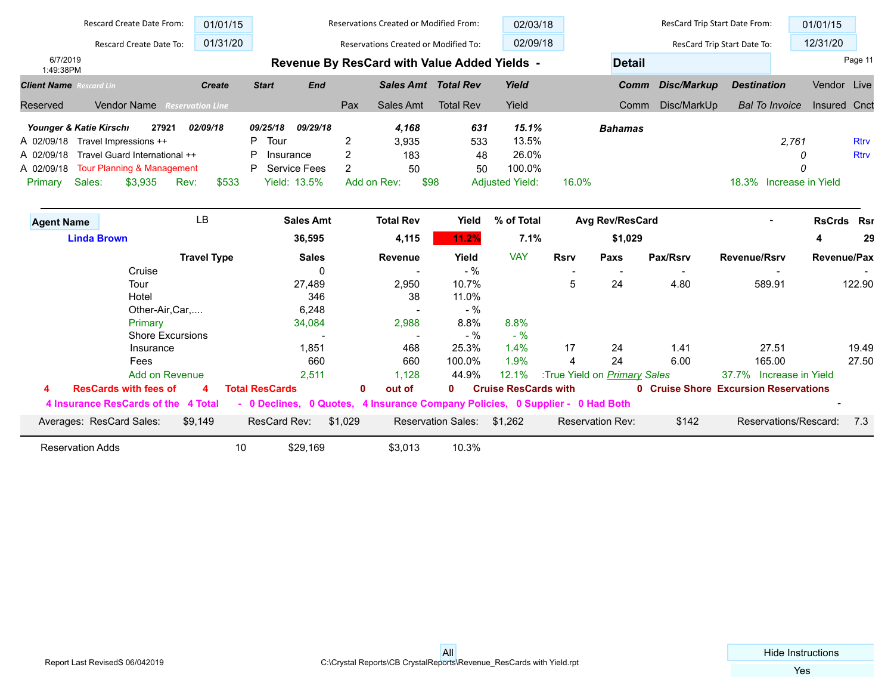|                                | <b>Rescard Create Date From:</b>      | 01/01/15                |              |                     |                | Reservations Created or Modified From:       |                  | 02/03/18               |             |                 | ResCard Trip Start Date From: |                             | 01/01/15           |             |
|--------------------------------|---------------------------------------|-------------------------|--------------|---------------------|----------------|----------------------------------------------|------------------|------------------------|-------------|-----------------|-------------------------------|-----------------------------|--------------------|-------------|
|                                | Rescard Create Date To:               | 01/31/20                |              |                     |                | Reservations Created or Modified To:         |                  | 02/09/18               |             |                 |                               | ResCard Trip Start Date To: | 12/31/20           |             |
| 6/7/2019<br>1:49:38PM          |                                       |                         |              |                     |                | Revenue By ResCard with Value Added Yields - |                  |                        |             | <b>Detail</b>   |                               |                             |                    | Page 11     |
| <b>Client Name</b> Rescard Lin |                                       | <b>Create</b>           | <b>Start</b> | <b>End</b>          |                | <b>Sales Amt Total Rev</b>                   |                  | Yield                  |             | Comm            | Disc/Markup                   | <b>Destination</b>          | Vendor Live        |             |
| Reserved                       | <b>Vendor Name</b>                    | <b>Reservation Line</b> |              |                     | Pax            | Sales Amt                                    | <b>Total Rev</b> | Yield                  |             | Comm            | Disc/MarkUp                   | <b>Bal To Invoice</b>       | Insured Cnct       |             |
| Younger & Katie Kirschi        | 27921                                 | 02/09/18                | 09/25/18     | 09/29/18            |                | 4,168                                        | 631              | 15.1%                  |             | <b>Bahamas</b>  |                               |                             |                    |             |
| A 02/09/18                     | Travel Impressions ++                 |                         | Tour<br>P    |                     | 2              | 3,935                                        | 533              | 13.5%                  |             |                 |                               |                             | 2,761              | <b>Rtrv</b> |
| A 02/09/18                     | Travel Guard International ++         |                         | P            | Insurance           | 2              | 183                                          | 48               | 26.0%                  |             |                 |                               |                             |                    | <b>Rtrv</b> |
| A 02/09/18                     | <b>Tour Planning &amp; Management</b> |                         | P            | <b>Service Fees</b> | $\overline{2}$ | 50                                           | 50               | 100.0%                 |             |                 |                               |                             |                    |             |
| Sales:<br>Primary              | \$3,935<br>Rev:                       | \$533                   |              | <b>Yield: 13.5%</b> |                | Add on Rev:                                  | \$98             | <b>Adjusted Yield:</b> | 16.0%       |                 |                               | 18.3%                       | Increase in Yield  |             |
| <b>Agent Name</b>              |                                       | LB                      |              | <b>Sales Amt</b>    |                | <b>Total Rev</b>                             | Yield            | % of Total             |             | Avg Rev/ResCard |                               |                             | RsCrds Rsr         |             |
|                                | <b>Linda Brown</b>                    |                         |              | 36,595              |                | 4,115                                        | 11.2%            | 7.1%                   |             | \$1,029         |                               |                             | 4                  | 29          |
|                                |                                       | <b>Travel Type</b>      |              | <b>Sales</b>        |                | Revenue                                      | Yield            | <b>VAY</b>             | <b>Rsrv</b> | Paxs            | Pax/Rsrv                      | <b>Revenue/Rsrv</b>         | <b>Revenue/Pax</b> |             |
|                                | Cruise                                |                         |              | 0                   |                |                                              | $-$ %            |                        |             |                 |                               |                             |                    |             |
|                                | Tour                                  |                         |              | 27,489              |                | 2,950                                        | 10.7%            |                        | 5           | 24              | 4.80                          | 589.91                      |                    | 122.90      |
|                                | Hotel                                 |                         |              | 346                 |                | 38                                           | 11.0%            |                        |             |                 |                               |                             |                    |             |
|                                | Other-Air, Car,                       |                         |              | 6,248               |                |                                              | $-$ %            |                        |             |                 |                               |                             |                    |             |
|                                | Primary                               |                         |              | 34,084              |                | 2,988                                        | 8.8%             | 8.8%                   |             |                 |                               |                             |                    |             |
|                                | <b>Shore Excursions</b>               |                         |              |                     |                |                                              | $-$ %            | $-$ %                  |             |                 |                               |                             |                    |             |
|                                | Insurance                             |                         |              | 1,851               |                | 468                                          | 25.3%            | 1.4%                   | 17          | 24              | 1.41                          | 27.51                       |                    | 19.49       |
|                                | Fees                                  |                         |              | 660                 |                | 660                                          | 100.0%           | 1.9%                   | 4           | 24              | 6.00                          | 165.00                      |                    | 27.50       |

Add on Revenue 2,511 2,511 1,128 44.9% 12.1% :True Yield on *Primary Sales* 37.7% Increase in Yield  **4 ResCards with fees of 4 Total ResCards 0 out of 0 Cruise ResCards with 0 Cruise Shore Excursion Reservations 4 Insurance ResCards of the 4 Total - 0 Declines, 0 Quotes, 4 Insurance Company Policies, 0 Supplier - 0 Had Both** - Averages: ResCard Sales: \$9,149 ResCard Rev: \$1,029 Reservation Sales: \$1,262 Reservation Rev: \$142 Reservations/Rescard: 7.3

Reservation Adds **10 10 10 10.3% 10.3%**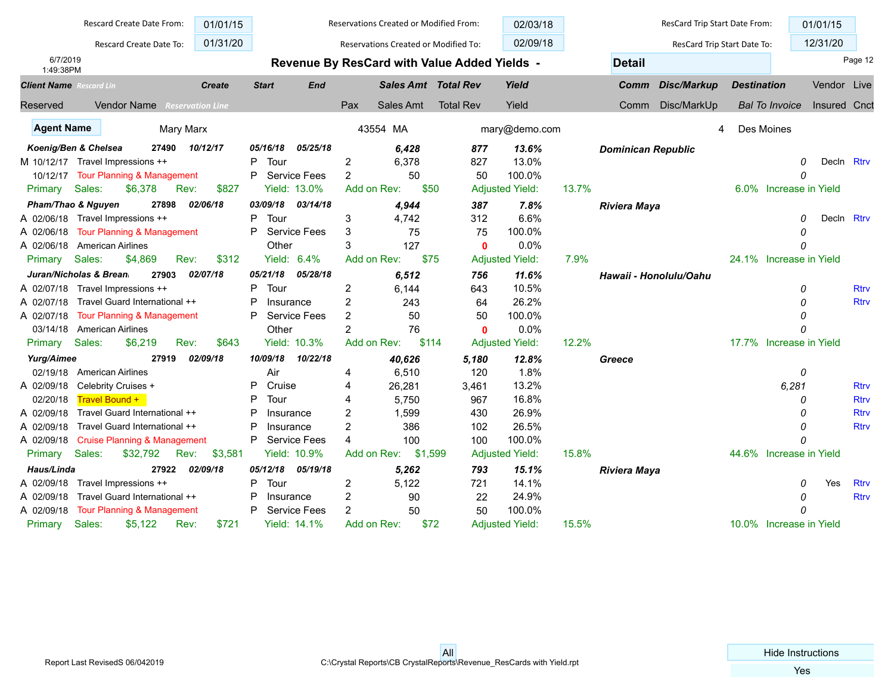|                                | Rescard Create Date From:               | 01/01/15                |                |                     |                | <b>Reservations Created or Modified From:</b> |                                              | 02/03/18               |       |                           | ResCard Trip Start Date From: |                    |                         | 01/01/15     |             |
|--------------------------------|-----------------------------------------|-------------------------|----------------|---------------------|----------------|-----------------------------------------------|----------------------------------------------|------------------------|-------|---------------------------|-------------------------------|--------------------|-------------------------|--------------|-------------|
|                                | Rescard Create Date To:                 | 01/31/20                |                |                     |                | Reservations Created or Modified To:          |                                              | 02/09/18               |       |                           | ResCard Trip Start Date To:   |                    |                         | 12/31/20     |             |
| 6/7/2019<br>1:49:38PM          |                                         |                         |                |                     |                |                                               | Revenue By ResCard with Value Added Yields - |                        |       | <b>Detail</b>             |                               |                    |                         |              | Page 12     |
| <b>Client Name</b> Rescard Lin |                                         | <b>Create</b>           | <b>Start</b>   | <b>End</b>          |                | <b>Sales Amt Total Rev</b>                    |                                              | Yield                  |       | <b>Comm</b>               | <b>Disc/Markup</b>            | <b>Destination</b> |                         | Vendor Live  |             |
| Reserved                       | Vendor Name                             | <b>Reservation Line</b> |                |                     | Pax            | Sales Amt                                     | <b>Total Rev</b>                             | Yield                  |       | Comm                      | Disc/MarkUp                   |                    | <b>Bal To Invoice</b>   | Insured Cnct |             |
| <b>Agent Name</b>              | Mary Marx                               |                         |                |                     |                | 43554 MA                                      |                                              | mary@demo.com          |       |                           | 4                             |                    | Des Moines              |              |             |
|                                | Koenig/Ben & Chelsea<br>27490           | 10/12/17                | 05/16/18       | 05/25/18            |                | 6,428                                         | 877                                          | 13.6%                  |       | <b>Dominican Republic</b> |                               |                    |                         |              |             |
|                                | M 10/12/17 Travel Impressions ++        |                         | P<br>Tour      |                     | $\overline{c}$ | 6,378                                         | 827                                          | 13.0%                  |       |                           |                               |                    | 0                       | Decln Rtrv   |             |
|                                | 10/12/17 Tour Planning & Management     |                         | P              | Service Fees        | 2              | 50                                            | 50                                           | 100.0%                 |       |                           |                               |                    | n                       |              |             |
| Primary                        | Sales:<br>\$6,378<br>Rev:               | \$827                   |                | Yield: 13.0%        | Add on Rev:    | \$50                                          |                                              | <b>Adjusted Yield:</b> | 13.7% |                           |                               |                    | 6.0% Increase in Yield  |              |             |
|                                | Pham/Thao & Nguyen<br>27898             | 02/06/18                | 03/09/18       | 03/14/18            |                | 4,944                                         | 387                                          | 7.8%                   |       | <b>Riviera Maya</b>       |                               |                    |                         |              |             |
|                                | A 02/06/18 Travel Impressions ++        |                         | P<br>Tour      |                     | 3              | 4,742                                         | 312                                          | 6.6%                   |       |                           |                               |                    | O                       | Decln Rtrv   |             |
| A 02/06/18                     | <b>Tour Planning &amp; Management</b>   |                         | P              | Service Fees        | 3              | 75                                            | 75                                           | 100.0%                 |       |                           |                               |                    | n                       |              |             |
| A 02/06/18                     | American Airlines                       |                         | Other          |                     | 3              | 127                                           | $\mathbf{0}$                                 | 0.0%                   |       |                           |                               |                    | n                       |              |             |
| Primary                        | Sales:<br>\$4,869<br>Rev:               | \$312                   |                | Yield: 6.4%         | Add on Rev:    | \$75                                          |                                              | <b>Adjusted Yield:</b> | 7.9%  |                           |                               |                    | 24.1% Increase in Yield |              |             |
|                                | Juran/Nicholas & Brean<br>27903         | 02/07/18                | 05/21/18       | 05/28/18            |                | 6,512                                         | 756                                          | 11.6%                  |       |                           | Hawaii - Honolulu/Oahu        |                    |                         |              |             |
| A 02/07/18                     | Travel Impressions ++                   |                         | P<br>Tour      |                     | $\overline{2}$ | 6,144                                         | 643                                          | 10.5%                  |       |                           |                               |                    | 0                       |              | <b>Rtry</b> |
| A 02/07/18                     | Travel Guard International ++           |                         | P<br>Insurance |                     | $\overline{2}$ | 243                                           | 64                                           | 26.2%                  |       |                           |                               |                    | 0                       |              | <b>Rtrv</b> |
| A 02/07/18                     | <b>Tour Planning &amp; Management</b>   |                         | P              | <b>Service Fees</b> | $\overline{c}$ | 50                                            | 50                                           | 100.0%                 |       |                           |                               |                    |                         |              |             |
| 03/14/18                       | <b>American Airlines</b>                |                         | Other          |                     | $\overline{c}$ | 76                                            | $\mathbf{0}$                                 | 0.0%                   |       |                           |                               |                    | n                       |              |             |
| Primary                        | Sales:<br>\$6,219<br>Rev:               | \$643                   |                | Yield: 10.3%        | Add on Rev:    | \$114                                         |                                              | <b>Adjusted Yield:</b> | 12.2% |                           |                               |                    | 17.7% Increase in Yield |              |             |
| Yurg/Aimee                     | 27919                                   | 02/09/18                | 10/09/18       | 10/22/18            |                | 40,626                                        | 5,180                                        | 12.8%                  |       | Greece                    |                               |                    |                         |              |             |
| 02/19/18                       | <b>American Airlines</b>                |                         | Air            |                     | 4              | 6,510                                         | 120                                          | 1.8%                   |       |                           |                               |                    | 0                       |              |             |
| A 02/09/18                     | Celebrity Cruises +                     |                         | P<br>Cruise    |                     | 4              | 26,281                                        | 3,461                                        | 13.2%                  |       |                           |                               |                    | 6,281                   |              | <b>Rtrv</b> |
| 02/20/18                       | <b>Travel Bound +</b>                   |                         | P<br>Tour      |                     | $\overline{A}$ | 5.750                                         | 967                                          | 16.8%                  |       |                           |                               |                    | 0                       |              | <b>Rtrv</b> |
| A 02/09/18                     | Travel Guard International ++           |                         | P<br>Insurance |                     | 2              | 1,599                                         | 430                                          | 26.9%                  |       |                           |                               |                    | 0                       |              | <b>Rtrv</b> |
| A 02/09/18                     | Travel Guard International ++           |                         | P<br>Insurance |                     | $\overline{c}$ | 386                                           | 102                                          | 26.5%                  |       |                           |                               |                    | 0                       |              | <b>Rtrv</b> |
| A 02/09/18                     | <b>Cruise Planning &amp; Management</b> |                         | P              | Service Fees        | 4              | 100                                           | 100                                          | 100.0%                 |       |                           |                               |                    | 0                       |              |             |
| Primary                        | Sales:<br>\$32,792<br>Rev:              | \$3,581                 |                | Yield: 10.9%        | Add on Rev:    | \$1,599                                       |                                              | <b>Adjusted Yield:</b> | 15.8% |                           |                               |                    | 44.6% Increase in Yield |              |             |
| Haus/Linda                     | 27922                                   | 02/09/18                | 05/12/18       | 05/19/18            |                | 5,262                                         | 793                                          | 15.1%                  |       | <b>Riviera Maya</b>       |                               |                    |                         |              |             |
| A 02/09/18                     | Travel Impressions ++                   |                         | P<br>Tour      |                     | $\overline{2}$ | 5,122                                         | 721                                          | 14.1%                  |       |                           |                               |                    | 0                       | Yes          | <b>Rtrv</b> |
| A 02/09/18                     | Travel Guard International ++           |                         | P<br>Insurance |                     | 2              | 90                                            | 22                                           | 24.9%                  |       |                           |                               |                    | 0                       |              | <b>Rtrv</b> |
| A 02/09/18                     | <b>Tour Planning &amp; Management</b>   |                         | P              | <b>Service Fees</b> | $\overline{2}$ | 50                                            | 50                                           | 100.0%                 |       |                           |                               |                    | Ω                       |              |             |
| Primary                        | Sales:<br>\$5,122<br>Rev:               | \$721                   |                | <b>Yield: 14.1%</b> | Add on Rev:    | \$72                                          |                                              | <b>Adiusted Yield:</b> | 15.5% |                           |                               |                    | 10.0% Increase in Yield |              |             |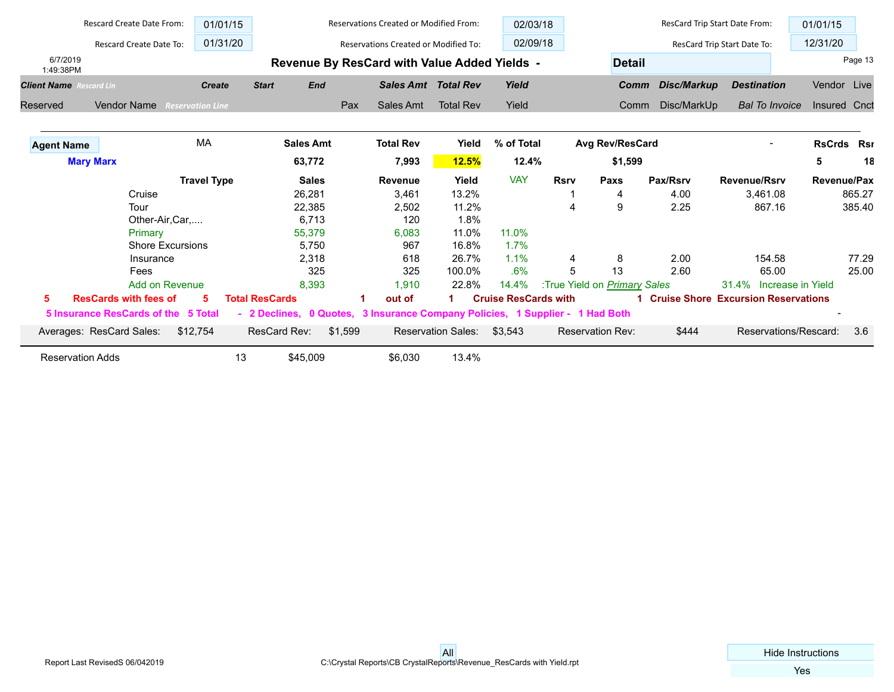|                                | <b>Rescard Create Date From:</b> | 01/01/15                |                       |              | <b>Reservations Created or Modified From:</b>                                 |                           | 02/03/18                    |             |                                     | ResCard Trip Start Date From: |                                       | 01/01/15     |         |
|--------------------------------|----------------------------------|-------------------------|-----------------------|--------------|-------------------------------------------------------------------------------|---------------------------|-----------------------------|-------------|-------------------------------------|-------------------------------|---------------------------------------|--------------|---------|
|                                | Rescard Create Date To:          | 01/31/20                |                       |              | <b>Reservations Created or Modified To:</b>                                   |                           | 02/09/18                    |             |                                     |                               | ResCard Trip Start Date To:           | 12/31/20     |         |
| 6/7/2019<br>1:49:38PM          |                                  |                         |                       |              | Revenue By ResCard with Value Added Yields -                                  |                           |                             |             | <b>Detail</b>                       |                               |                                       |              | Page 13 |
| <b>Client Name</b> Rescard Lin |                                  | <b>Create</b>           | <b>Start</b>          | <b>End</b>   | <b>Sales Amt Total Rev</b>                                                    |                           | Yield                       |             | Comm                                | Disc/Markup                   | <b>Destination</b>                    | Vendor Live  |         |
| Reserved                       | <b>Vendor Name</b>               | <b>Reservation Line</b> |                       | Pax          | Sales Amt                                                                     | <b>Total Rev</b>          | Yield                       |             | Comm                                | Disc/MarkUp                   | <b>Bal To Invoice</b>                 | Insured Cnct |         |
| <b>Agent Name</b>              |                                  | <b>MA</b>               | <b>Sales Amt</b>      |              | <b>Total Rev</b>                                                              | Yield                     | % of Total                  |             | Avg Rev/ResCard                     |                               |                                       | RsCrds Rsr   |         |
|                                | <b>Mary Marx</b>                 |                         | 63,772                |              | 7,993                                                                         | <b>12.5%</b>              | 12.4%                       |             | \$1,599                             |                               |                                       | 5            | 18      |
|                                |                                  | <b>Travel Type</b>      |                       | <b>Sales</b> | <b>Revenue</b>                                                                | Yield                     | <b>VAY</b>                  | <b>Rsrv</b> | Paxs                                | Pax/Rsrv                      | <b>Revenue/Rsrv</b>                   | Revenue/Pax  |         |
|                                | Cruise                           |                         | 26,281                |              | 3,461                                                                         | 13.2%                     |                             |             | 4                                   | 4.00                          | 3,461.08                              |              | 865.27  |
|                                | Tour                             |                         | 22,385                |              | 2,502                                                                         | 11.2%                     |                             | 4           | 9                                   | 2.25                          | 867.16                                |              | 385.40  |
|                                | Other-Air, Car,                  |                         |                       | 6,713        | 120                                                                           | 1.8%                      |                             |             |                                     |                               |                                       |              |         |
|                                | Primary                          |                         | 55,379                |              | 6,083                                                                         | 11.0%                     | 11.0%                       |             |                                     |                               |                                       |              |         |
|                                | <b>Shore Excursions</b>          |                         |                       | 5,750        | 967                                                                           | 16.8%                     | 1.7%                        |             |                                     |                               |                                       |              |         |
|                                | Insurance                        |                         |                       | 2,318        | 618                                                                           | 26.7%                     | 1.1%                        | 4           | 8                                   | 2.00                          | 154.58                                |              | 77.29   |
|                                | Fees                             |                         |                       | 325          | 325                                                                           | 100.0%                    | .6%                         | 5           | 13                                  | 2.60                          | 65.00                                 |              | 25.00   |
|                                | Add on Revenue                   |                         |                       | 8,393        | 1,910                                                                         | 22.8%                     | 14.4%                       |             | :True Yield on <i>Primary Sales</i> |                               | 31.4% Increase in Yield               |              |         |
| 5                              | <b>ResCards with fees of</b>     | 5                       | <b>Total ResCards</b> |              | out of                                                                        |                           | <b>Cruise ResCards with</b> |             |                                     |                               | 1 Cruise Shore Excursion Reservations |              |         |
|                                | 5 Insurance ResCards of the      | 5 Total                 |                       |              | - 2 Declines, 0 Quotes, 3 Insurance Company Policies, 1 Supplier - 1 Had Both |                           |                             |             |                                     |                               |                                       |              |         |
|                                | Averages: ResCard Sales:         | \$12,754                | ResCard Rev:          | \$1,599      |                                                                               | <b>Reservation Sales:</b> | \$3,543                     |             | <b>Reservation Rev:</b>             | \$444                         | Reservations/Rescard:                 |              | 3.6     |
| <b>Reservation Adds</b>        |                                  | 13                      | \$45,009              |              | \$6,030                                                                       | 13.4%                     |                             |             |                                     |                               |                                       |              |         |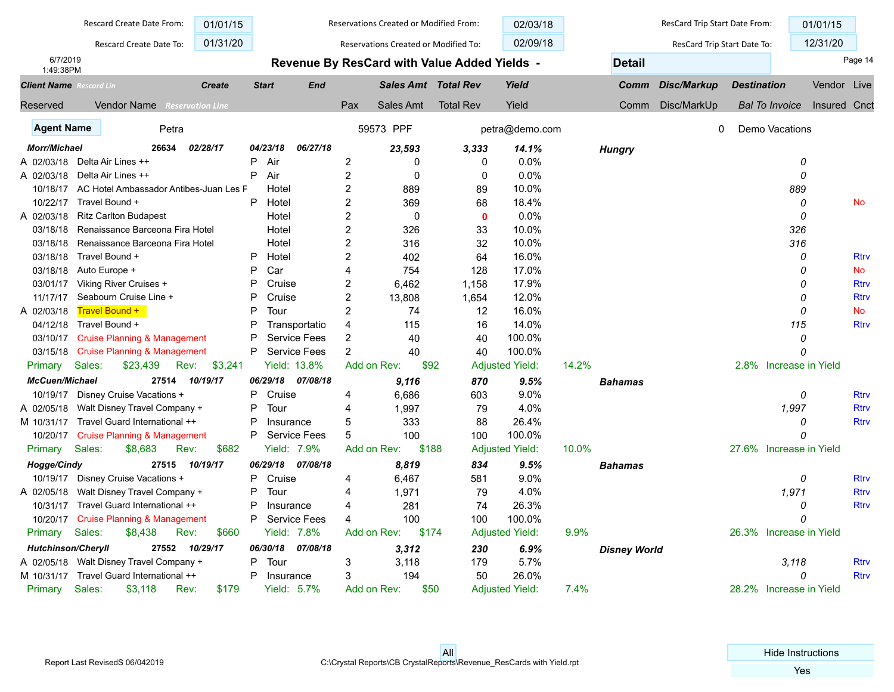|                                | Rescard Create Date From:               | 01/01/15      |                |                     |                  | Reservations Created or Modified From: |                                              | 02/03/18               |       |                     | ResCard Trip Start Date From: |                    | 01/01/15                |              |             |
|--------------------------------|-----------------------------------------|---------------|----------------|---------------------|------------------|----------------------------------------|----------------------------------------------|------------------------|-------|---------------------|-------------------------------|--------------------|-------------------------|--------------|-------------|
|                                | Rescard Create Date To:                 | 01/31/20      |                |                     |                  | Reservations Created or Modified To:   |                                              | 02/09/18               |       |                     | ResCard Trip Start Date To:   |                    | 12/31/20                |              |             |
| 6/7/2019<br>1:49:38PM          |                                         |               |                |                     |                  |                                        | Revenue By ResCard with Value Added Yields - |                        |       | <b>Detail</b>       |                               |                    |                         | Page 14      |             |
| <b>Client Name</b> Rescard Lin |                                         | <b>Create</b> | <b>Start</b>   | <b>End</b>          |                  | <b>Sales Amt Total Rev</b>             |                                              | Yield                  |       | Comm                | Disc/Markup                   | <b>Destination</b> |                         | Vendor Live  |             |
| <b>Reserved</b>                | <b>Vendor Name</b> Reservation Line     |               |                |                     | Pax              | Sales Amt                              | <b>Total Rev</b>                             | Yield                  |       | Comm                | Disc/MarkUp                   |                    | <b>Bal To Invoice</b>   | Insured Cnct |             |
| <b>Agent Name</b>              | Petra                                   |               |                |                     |                  | 59573 PPF                              |                                              | petra@demo.com         |       |                     | $\mathbf{0}$                  |                    | Demo Vacations          |              |             |
| <b>Morr/Michael</b>            | 26634                                   | 02/28/17      | 04/23/18       | 06/27/18            |                  | 23,593                                 | 3,333                                        | 14.1%                  |       | <b>Hungry</b>       |                               |                    |                         |              |             |
| A 02/03/18                     | Delta Air Lines ++                      |               | P<br>Air       |                     | $\boldsymbol{2}$ | 0                                      | 0                                            | 0.0%                   |       |                     |                               |                    | 0                       |              |             |
| A 02/03/18                     | Delta Air Lines ++                      |               | Air<br>P       |                     | $\overline{2}$   | 0                                      | 0                                            | 0.0%                   |       |                     |                               |                    | 0                       |              |             |
| 10/18/17                       | AC Hotel Ambassador Antibes-Juan Les F  |               | Hotel          |                     | $\overline{2}$   | 889                                    | 89                                           | 10.0%                  |       |                     |                               |                    | 889                     |              |             |
| 10/22/17                       | Travel Bound +                          |               | P<br>Hotel     |                     | $\overline{c}$   | 369                                    | 68                                           | 18.4%                  |       |                     |                               |                    | 0                       |              | <b>No</b>   |
| A 02/03/18                     | <b>Ritz Carlton Budapest</b>            |               | Hotel          |                     | $\overline{c}$   | $\mathbf 0$                            | $\mathbf 0$                                  | 0.0%                   |       |                     |                               |                    | 0                       |              |             |
| 03/18/18                       | Renaissance Barceona Fira Hotel         |               | Hotel          |                     | $\overline{c}$   | 326                                    | 33                                           | 10.0%                  |       |                     |                               |                    | 326                     |              |             |
| 03/18/18                       | Renaissance Barceona Fira Hotel         |               | Hotel          |                     | $\overline{c}$   | 316                                    | 32                                           | 10.0%                  |       |                     |                               |                    | 316                     |              |             |
| 03/18/18                       | Travel Bound +                          |               | Ρ<br>Hotel     |                     | $\overline{c}$   | 402                                    | 64                                           | 16.0%                  |       |                     |                               |                    | 0                       |              | <b>Rtrv</b> |
| 03/18/18                       | Auto Europe +                           |               | P<br>Car       |                     | 4                | 754                                    | 128                                          | 17.0%                  |       |                     |                               |                    | 0                       |              | <b>No</b>   |
| 03/01/17                       | Viking River Cruises +                  |               | P<br>Cruise    |                     | 2                | 6.462                                  | 1,158                                        | 17.9%                  |       |                     |                               |                    | 0                       |              | <b>Rtrv</b> |
| 11/17/17                       | Seabourn Cruise Line +                  |               | P<br>Cruise    |                     | $\overline{c}$   | 13,808                                 | 1,654                                        | 12.0%                  |       |                     |                               |                    | 0                       |              | <b>Rtrv</b> |
| A 02/03/18                     | Travel Bound +                          |               | P<br>Tour      |                     | $\overline{2}$   | 74                                     | 12                                           | 16.0%                  |       |                     |                               |                    | 0                       |              | <b>No</b>   |
| 04/12/18                       | Travel Bound +                          |               | P              | Transportatio       | 4                | 115                                    | 16                                           | 14.0%                  |       |                     |                               |                    | 115                     |              | <b>Rtrv</b> |
| 03/10/17                       | <b>Cruise Planning &amp; Management</b> |               | P              | <b>Service Fees</b> | 2                | 40                                     | 40                                           | 100.0%                 |       |                     |                               |                    | 0                       |              |             |
| 03/15/18                       | <b>Cruise Planning &amp; Management</b> |               | P              | <b>Service Fees</b> | $\overline{2}$   | 40                                     | 40                                           | 100.0%                 |       |                     |                               |                    | $\Omega$                |              |             |
| Primary                        | Sales:<br>\$23,439<br>Rev:              | \$3,241       |                | Yield: 13.8%        | Add on Rev:      | \$92                                   |                                              | <b>Adjusted Yield:</b> | 14.2% |                     |                               |                    | 2.8% Increase in Yield  |              |             |
| <b>McCuen/Michael</b>          | 27514                                   | 10/19/17      | 06/29/18       | 07/08/18            |                  | 9,116                                  | 870                                          | 9.5%                   |       | <b>Bahamas</b>      |                               |                    |                         |              |             |
| 10/19/17                       | Disney Cruise Vacations +               |               | P<br>Cruise    |                     | 4                | 6.686                                  | 603                                          | 9.0%                   |       |                     |                               |                    | 0                       |              | <b>Rtrv</b> |
| A 02/05/18                     | Walt Disney Travel Company +            |               | P<br>Tour      |                     | 4                | 1,997                                  | 79                                           | 4.0%                   |       |                     |                               |                    | 1,997                   |              | <b>Rtrv</b> |
| M 10/31/17                     | Travel Guard International ++           |               | Ρ<br>Insurance |                     | 5                | 333                                    | 88                                           | 26.4%                  |       |                     |                               |                    | 0                       |              | <b>Rtrv</b> |
| 10/20/17                       | <b>Cruise Planning &amp; Management</b> |               | P              | <b>Service Fees</b> | 5                | 100                                    | 100                                          | 100.0%                 |       |                     |                               |                    | $\Omega$                |              |             |
| Primary                        | Sales:<br>\$8,683<br>Rev:               | \$682         |                | Yield: 7.9%         | Add on Rev:      | \$188                                  |                                              | <b>Adjusted Yield:</b> | 10.0% |                     |                               |                    | 27.6% Increase in Yield |              |             |
| Hogge/Cindy                    | 27515                                   | 10/19/17      | 06/29/18       | 07/08/18            |                  | 8.819                                  | 834                                          | 9.5%                   |       | <b>Bahamas</b>      |                               |                    |                         |              |             |
| 10/19/17                       | Disney Cruise Vacations +               |               | P<br>Cruise    |                     | 4                | 6,467                                  | 581                                          | 9.0%                   |       |                     |                               |                    | 0                       |              | <b>Rtrv</b> |
| A 02/05/18                     | Walt Disney Travel Company +            |               | Ρ<br>Tour      |                     | 4                | 1,971                                  | 79                                           | 4.0%                   |       |                     |                               |                    | 1,971                   |              | <b>Rtrv</b> |
| 10/31/17                       | Travel Guard International ++           |               | P<br>Insurance |                     | 4                | 281                                    | 74                                           | 26.3%                  |       |                     |                               |                    | 0                       |              | <b>Rtrv</b> |
| 10/20/17                       | <b>Cruise Planning &amp; Management</b> |               | P              | <b>Service Fees</b> | 4                | 100                                    | 100                                          | 100.0%                 |       |                     |                               |                    | $\Omega$                |              |             |
| Primary                        | Sales:<br>\$8,438<br>Rev:               | \$660         |                | Yield: 7.8%         | Add on Rev:      | \$174                                  |                                              | <b>Adjusted Yield:</b> | 9.9%  |                     |                               |                    | 26.3% Increase in Yield |              |             |
| <b>Hutchinson/Cheryll</b>      | 27552                                   | 10/29/17      | 06/30/18       | 07/08/18            |                  | 3,312                                  | 230                                          | 6.9%                   |       | <b>Disney World</b> |                               |                    |                         |              |             |
| A 02/05/18                     | Walt Disney Travel Company +            |               | Ρ<br>Tour      |                     | 3                | 3,118                                  | 179                                          | 5.7%                   |       |                     |                               |                    | 3.118                   |              | <b>Rtrv</b> |
| M 10/31/17                     | Travel Guard International ++           |               | P<br>Insurance |                     | 3                | 194                                    | 50                                           | 26.0%                  |       |                     |                               |                    | $\Omega$                |              | <b>Rtrv</b> |
| Primary                        | Sales:<br>\$3,118<br>Rev:               | \$179         |                | <b>Yield: 5.7%</b>  | Add on Rev:      | \$50                                   |                                              | <b>Adjusted Yield:</b> | 7.4%  |                     |                               |                    | 28.2% Increase in Yield |              |             |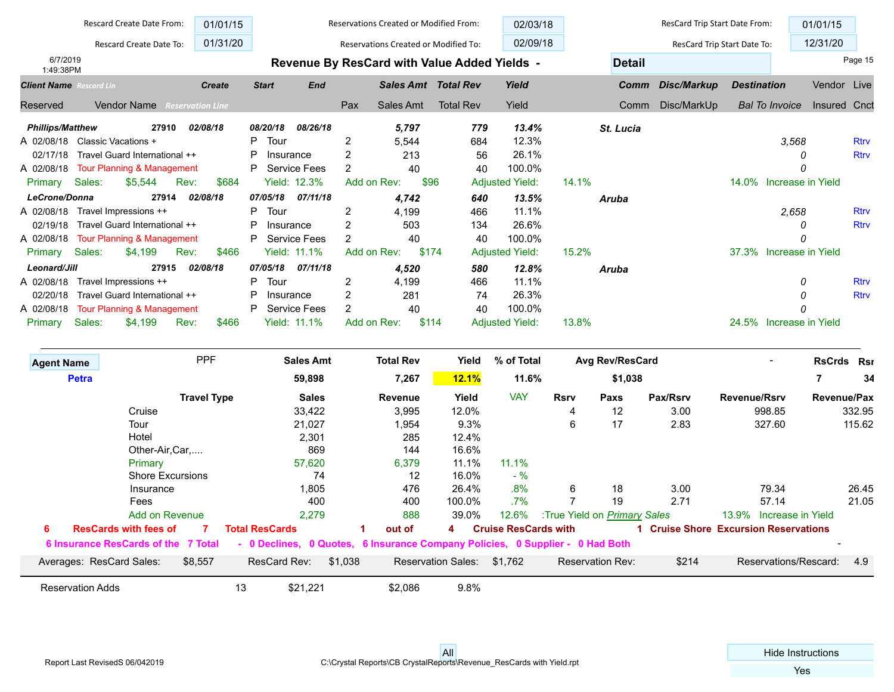|                                | Rescard Create Date From:             | 01/01/15                |                |                     |                | Reservations Created or Modified From:       |                  | 02/03/18               |             |                 | ResCard Trip Start Date From: |                     |                       | 01/01/15           |             |
|--------------------------------|---------------------------------------|-------------------------|----------------|---------------------|----------------|----------------------------------------------|------------------|------------------------|-------------|-----------------|-------------------------------|---------------------|-----------------------|--------------------|-------------|
|                                | Rescard Create Date To:               | 01/31/20                |                |                     |                | Reservations Created or Modified To:         |                  | 02/09/18               |             |                 | ResCard Trip Start Date To:   |                     |                       | 12/31/20           |             |
| 6/7/2019<br>1:49:38PM          |                                       |                         |                |                     |                | Revenue By ResCard with Value Added Yields - |                  |                        |             | <b>Detail</b>   |                               |                     |                       |                    | Page 15     |
| <b>Client Name</b> Rescard Lin |                                       | <b>Create</b>           | <b>Start</b>   | <b>End</b>          |                | <b>Sales Amt Total Rev</b>                   |                  | Yield                  |             | Comm            | Disc/Markup                   | <b>Destination</b>  |                       | Vendor Live        |             |
| Reserved                       | <b>Vendor Name</b>                    | <b>Reservation Line</b> |                |                     | Pax            | Sales Amt                                    | <b>Total Rev</b> | Yield                  |             | Comm            | Disc/MarkUp                   |                     | <b>Bal To Invoice</b> | Insured Cnct       |             |
| <b>Phillips/Matthew</b>        | 27910                                 | 02/08/18                | 08/20/18       | 08/26/18            |                | 5,797                                        | 779              | 13.4%                  |             | St. Lucia       |                               |                     |                       |                    |             |
| A 02/08/18                     | Classic Vacations +                   |                         | Tour<br>P      |                     | 2              | 5,544                                        | 684              | 12.3%                  |             |                 |                               |                     | 3.568                 |                    | <b>Rtrv</b> |
| 02/17/18                       | Travel Guard International ++         |                         | P<br>Insurance |                     | 2              | 213                                          | 56               | 26.1%                  |             |                 |                               |                     |                       |                    | <b>Rtrv</b> |
| A 02/08/18                     | <b>Tour Planning &amp; Management</b> |                         | P              | <b>Service Fees</b> | 2              | 40                                           | 40               | 100.0%                 |             |                 |                               |                     |                       |                    |             |
| Sales:<br>Primary              | \$5,544                               | Rev:<br>\$684           |                | <b>Yield: 12.3%</b> | Add on Rev:    | \$96                                         |                  | <b>Adjusted Yield:</b> | 14.1%       |                 |                               | 14.0%               | Increase in Yield     |                    |             |
| LeCrone/Donna                  | 27914                                 | 02/08/18                | 07/05/18       | 07/11/18            |                | 4.742                                        | 640              | 13.5%                  |             | Aruba           |                               |                     |                       |                    |             |
| A 02/08/18                     | Travel Impressions ++                 |                         | Tour<br>P      |                     | 2              | 4,199                                        | 466              | 11.1%                  |             |                 |                               |                     | 2,658                 |                    | <b>Rtrv</b> |
| 02/19/18                       | Travel Guard International ++         |                         | P<br>Insurance |                     | 2              | 503                                          | 134              | 26.6%                  |             |                 |                               |                     | Ω                     |                    | <b>Rtrv</b> |
| A 02/08/18                     | <b>Tour Planning &amp; Management</b> |                         | P              | <b>Service Fees</b> | $\overline{2}$ | 40                                           | 40               | 100.0%                 |             |                 |                               |                     |                       |                    |             |
| Sales:<br>Primary              | \$4,199                               | Rev:<br>\$466           |                | <b>Yield: 11.1%</b> |                | Add on Rev:<br>\$174                         |                  | <b>Adjusted Yield:</b> | 15.2%       |                 |                               | 37.3%               | Increase in Yield     |                    |             |
| Leonard/Jill                   | 27915                                 | 02/08/18                | 07/05/18       | 07/11/18            |                | 4,520                                        | 580              | 12.8%                  |             | <b>Aruba</b>    |                               |                     |                       |                    |             |
| A 02/08/18                     | Travel Impressions ++                 |                         | P.<br>Tour     |                     | $\overline{2}$ | 4,199                                        | 466              | 11.1%                  |             |                 |                               |                     | 0                     |                    | <b>Rtrv</b> |
| 02/20/18                       | Travel Guard International ++         |                         | P<br>Insurance |                     | 2              | 281                                          | 74               | 26.3%                  |             |                 |                               |                     |                       |                    | <b>Rtrv</b> |
| A 02/08/18                     | <b>Tour Planning &amp; Management</b> |                         | P              | <b>Service Fees</b> | $\overline{2}$ | 40                                           | 40               | 100.0%                 |             |                 |                               |                     |                       |                    |             |
| Sales:<br>Primary              | \$4,199                               | Rev:<br>\$466           |                | <b>Yield: 11.1%</b> | Add on Rev:    | \$114                                        |                  | <b>Adjusted Yield:</b> | 13.8%       |                 |                               | 24.5%               | Increase in Yield     |                    |             |
| <b>Agent Name</b>              |                                       | <b>PPF</b>              |                | <b>Sales Amt</b>    |                | <b>Total Rev</b>                             | Yield            | % of Total             |             | Avg Rev/ResCard |                               |                     |                       | <b>RsCrds Rsr</b>  |             |
| <b>Petra</b>                   |                                       |                         |                | 59,898              |                | 7,267                                        | <b>12.1%</b>     | 11.6%                  |             | \$1,038         |                               |                     |                       |                    | 34          |
|                                |                                       | <b>Travel Type</b>      |                | <b>Sales</b>        |                | Revenue                                      | Yield            | <b>VAY</b>             | <b>Rsrv</b> | Paxs            | Pax/Rsrv                      | <b>Revenue/Rsrv</b> |                       | <b>Revenue/Pax</b> |             |

|   | <b>Travel Type</b>                  | <b>Sales</b>                                                                  | Revenue           | Yield                     | VAY                         | <b>Rsrv</b>                  | Paxs                    | Pax/Rsrv | <b>Revenue/Rsrv</b>                   | <b>Revenue/Pax</b> |
|---|-------------------------------------|-------------------------------------------------------------------------------|-------------------|---------------------------|-----------------------------|------------------------------|-------------------------|----------|---------------------------------------|--------------------|
|   | Cruise                              | 33,422                                                                        | 3,995             | 12.0%                     |                             | 4                            | 12                      | 3.00     | 998.85                                | 332.95             |
|   | Tour                                | 21,027                                                                        | 1,954             | 9.3%                      |                             | 6                            | 17                      | 2.83     | 327.60                                | 115.62             |
|   | Hotel                               | 2,301                                                                         | 285               | 12.4%                     |                             |                              |                         |          |                                       |                    |
|   | Other-Air, Car,                     | 869                                                                           | 144               | 16.6%                     |                             |                              |                         |          |                                       |                    |
|   | Primary                             | 57,620                                                                        | 6,379             | 11.1%                     | 11.1%                       |                              |                         |          |                                       |                    |
|   | <b>Shore Excursions</b>             | 74                                                                            | $12 \overline{ }$ | 16.0%                     | $-$ %                       |                              |                         |          |                                       |                    |
|   | Insurance                           | 1,805                                                                         | 476               | 26.4%                     | $.8\%$                      | 6                            | 18                      | 3.00     | 79.34                                 | 26.45              |
|   | Fees                                | 400                                                                           | 400               | 100.0%                    | .7%                         |                              | 19                      | 2.71     | 57.14                                 | 21.05              |
|   | Add on Revenue                      | 2.279                                                                         | 888               | 39.0%                     | 12.6%                       | :True Yield on Primary Sales |                         |          | 13.9% Increase in Yield               |                    |
| 6 | <b>ResCards with fees of</b>        | <b>Total ResCards</b>                                                         | out of            | 4                         | <b>Cruise ResCards with</b> |                              |                         |          | 1 Cruise Shore Excursion Reservations |                    |
|   | 6 Insurance ResCards of the 7 Total | - 0 Declines, 0 Quotes, 6 Insurance Company Policies, 0 Supplier - 0 Had Both |                   |                           |                             |                              |                         |          |                                       |                    |
|   | \$8,557<br>Averages: ResCard Sales: | \$1.038<br>ResCard Rev:                                                       |                   | <b>Reservation Sales:</b> | \$1.762                     |                              | <b>Reservation Rev:</b> | \$214    | Reservations/Rescard:                 | 4.9                |
|   | <b>Reservation Adds</b>             | \$21,221<br>13                                                                | \$2,086           | 9.8%                      |                             |                              |                         |          |                                       |                    |

 $\overline{\phantom{a}}$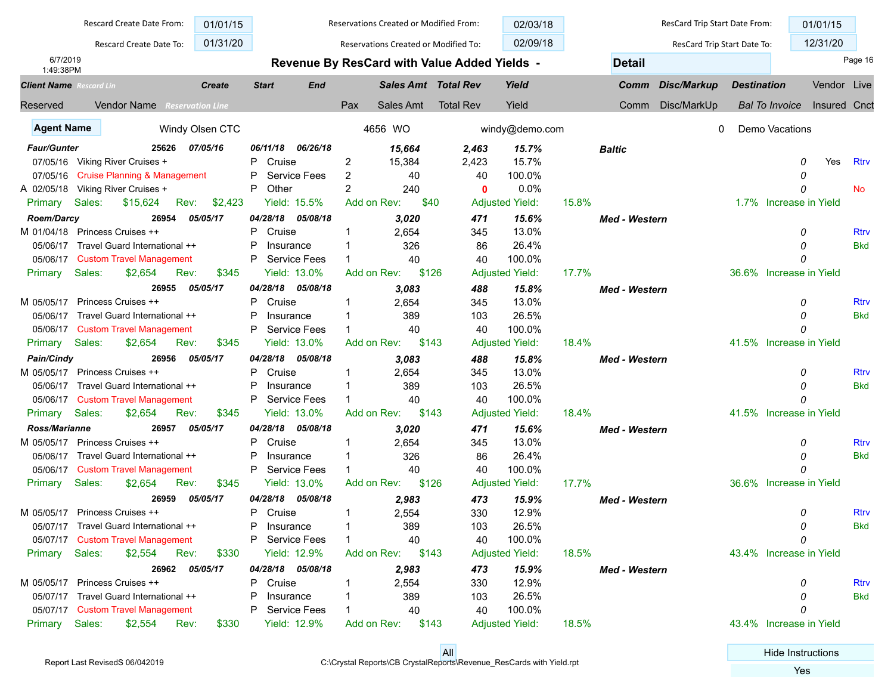|                                             | Rescard Create Date From:               | 01/01/15        |                |                     |     | Reservations Created or Modified From: |                                              | 02/03/18               |       |                      | ResCard Trip Start Date From: |                    |                         | 01/01/15     |             |
|---------------------------------------------|-----------------------------------------|-----------------|----------------|---------------------|-----|----------------------------------------|----------------------------------------------|------------------------|-------|----------------------|-------------------------------|--------------------|-------------------------|--------------|-------------|
|                                             | Rescard Create Date To:                 | 01/31/20        |                |                     |     | Reservations Created or Modified To:   |                                              | 02/09/18               |       |                      | ResCard Trip Start Date To:   |                    |                         | 12/31/20     |             |
| 6/7/2019                                    |                                         |                 |                |                     |     |                                        | Revenue By ResCard with Value Added Yields - |                        |       | <b>Detail</b>        |                               |                    |                         |              | Page 16     |
| 1:49:38PM<br><b>Client Name</b> Rescard Lin |                                         | <b>Create</b>   | <b>Start</b>   | <b>End</b>          |     | <b>Sales Amt Total Rev</b>             |                                              | Yield                  |       | Comm                 | Disc/Markup                   | <b>Destination</b> |                         | Vendor Live  |             |
| Reserved                                    | <b>Vendor Name</b> Reservation Line     |                 |                |                     | Pax | Sales Amt                              | <b>Total Rev</b>                             | Yield                  |       | Comm                 | Disc/MarkUp                   |                    | <b>Bal To Invoice</b>   | Insured Cnct |             |
|                                             |                                         |                 |                |                     |     |                                        |                                              |                        |       |                      |                               |                    |                         |              |             |
| <b>Agent Name</b>                           |                                         | Windy Olsen CTC |                |                     |     | 4656 WO                                |                                              | windy@demo.com         |       |                      | 0                             |                    | Demo Vacations          |              |             |
| <b>Faur/Gunter</b>                          | 25626                                   | 07/05/16        | 06/11/18       | 06/26/18            |     | 15,664                                 | 2,463                                        | 15.7%                  |       | Baltic               |                               |                    |                         |              |             |
| 07/05/16                                    | Viking River Cruises +                  |                 | Cruise<br>P    |                     | 2   | 15,384                                 | 2,423                                        | 15.7%                  |       |                      |                               |                    | 0                       | Yes          | <b>Rtrv</b> |
| 07/05/16                                    | <b>Cruise Planning &amp; Management</b> |                 | P              | <b>Service Fees</b> | 2   | 40                                     | 40                                           | 100.0%                 |       |                      |                               |                    | 0                       |              |             |
| A 02/05/18                                  | Viking River Cruises +                  |                 | Other<br>P     |                     | 2   | 240                                    | $\mathbf{0}$                                 | 0.0%                   |       |                      |                               |                    | 0                       |              | No          |
| Primary                                     | Sales:<br>\$15,624                      | Rev:<br>\$2,423 |                | Yield: 15.5%        |     | Add on Rev:<br>\$40                    |                                              | <b>Adjusted Yield:</b> | 15.8% |                      |                               |                    | 1.7% Increase in Yield  |              |             |
| <b>Roem/Darcy</b>                           | 26954                                   | 05/05/17        | 04/28/18       | 05/08/18            |     | 3,020                                  | 471                                          | 15.6%                  |       | <b>Med - Western</b> |                               |                    |                         |              |             |
| M 01/04/18                                  | <b>Princess Cruises ++</b>              |                 | Cruise<br>P    |                     | -1  | 2,654                                  | 345                                          | 13.0%                  |       |                      |                               |                    | 0                       |              | <b>Rtrv</b> |
| 05/06/17                                    | Travel Guard International ++           |                 | P<br>Insurance |                     |     | 326                                    | 86                                           | 26.4%                  |       |                      |                               |                    | 0                       |              | <b>Bkd</b>  |
| 05/06/17                                    | <b>Custom Travel Management</b>         |                 | P              | <b>Service Fees</b> |     | 40                                     | 40                                           | 100.0%                 |       |                      |                               |                    | $\Omega$                |              |             |
| Primary                                     | \$2,654<br>Sales:                       | \$345<br>Rev:   |                | Yield: 13.0%        |     | \$126<br>Add on Rev:                   |                                              | <b>Adjusted Yield:</b> | 17.7% |                      |                               |                    | 36.6% Increase in Yield |              |             |
|                                             | 26955                                   | 05/05/17        | 04/28/18       | 05/08/18            |     | 3.083                                  | 488                                          | 15.8%                  |       | <b>Med - Western</b> |                               |                    |                         |              |             |
|                                             | M 05/05/17 Princess Cruises ++          |                 | P<br>Cruise    |                     |     | 2,654                                  | 345                                          | 13.0%                  |       |                      |                               |                    | 0                       |              | Rtrv        |
| 05/06/17                                    | Travel Guard International ++           |                 | P<br>Insurance |                     |     | 389                                    | 103                                          | 26.5%                  |       |                      |                               |                    | O                       |              | <b>Bkd</b>  |
|                                             | 05/06/17 Custom Travel Management       |                 | P              | <b>Service Fees</b> |     | 40                                     | 40                                           | 100.0%                 |       |                      |                               |                    |                         |              |             |
| Primary                                     | \$2,654<br>Sales:                       | \$345<br>Rev:   |                | Yield: 13.0%        |     | \$143<br>Add on Rev:                   |                                              | <b>Adjusted Yield:</b> | 18.4% |                      |                               |                    | 41.5% Increase in Yield |              |             |
| Pain/Cindy                                  | 26956                                   | 05/05/17        | 04/28/18       | 05/08/18            |     | 3,083                                  | 488                                          | 15.8%                  |       | <b>Med - Western</b> |                               |                    |                         |              |             |
| M 05/05/17                                  | Princess Cruises ++                     |                 | P<br>Cruise    |                     | -1  | 2,654                                  | 345                                          | 13.0%                  |       |                      |                               |                    | 0                       |              | <b>Rtrv</b> |
| 05/06/17                                    | Travel Guard International ++           |                 | P<br>Insurance |                     |     | 389                                    | 103                                          | 26.5%                  |       |                      |                               |                    | 0                       |              | <b>Bkd</b>  |
|                                             | 05/06/17 Custom Travel Management       |                 | P              | <b>Service Fees</b> |     | 40                                     | 40                                           | 100.0%                 |       |                      |                               |                    | 0                       |              |             |
| Primary                                     | Sales:<br>\$2,654                       | \$345<br>Rev:   |                | <b>Yield: 13.0%</b> |     | Add on Rev:<br>\$143                   |                                              | <b>Adjusted Yield:</b> | 18.4% |                      |                               |                    | 41.5% Increase in Yield |              |             |
| Ross/Marianne                               | 26957                                   | 05/05/17        | 04/28/18       | 05/08/18            |     | 3,020                                  | 471                                          | 15.6%                  |       | <b>Med - Western</b> |                               |                    |                         |              |             |
| M 05/05/17                                  | Princess Cruises ++                     |                 | Cruise<br>P    |                     |     | 2,654                                  | 345                                          | 13.0%                  |       |                      |                               |                    | 0                       |              | <b>Rtrv</b> |
| 05/06/17                                    | Travel Guard International ++           |                 | P<br>Insurance |                     |     | 326                                    | 86                                           | 26.4%                  |       |                      |                               |                    | 0                       |              | <b>Bkd</b>  |
| 05/06/17                                    | <b>Custom Travel Management</b>         |                 | P              | <b>Service Fees</b> |     | 40                                     | 40                                           | 100.0%                 |       |                      |                               |                    | 0                       |              |             |
| Primary                                     | Sales:<br>\$2,654                       | Rev:<br>\$345   |                | Yield: 13.0%        |     | \$126<br>Add on Rev:                   |                                              | <b>Adjusted Yield:</b> | 17.7% |                      |                               |                    | 36.6% Increase in Yield |              |             |
|                                             | 26959                                   | 05/05/17        | 04/28/18       | 05/08/18            |     | 2,983                                  | 473                                          | 15.9%                  |       | <b>Med - Western</b> |                               |                    |                         |              |             |
|                                             | M 05/05/17 Princess Cruises ++          |                 | P Cruise       |                     | -1  | 2,554                                  | 330                                          | 12.9%                  |       |                      |                               |                    | 0                       |              | Rtrv        |
|                                             | 05/07/17 Travel Guard International ++  |                 | Insurance      |                     |     | 389                                    | 103                                          | 26.5%                  |       |                      |                               |                    | 0                       |              | <b>Bkd</b>  |
|                                             | 05/07/17 Custom Travel Management       |                 | Р              | <b>Service Fees</b> |     | 40                                     | 40                                           | 100.0%                 |       |                      |                               |                    | O                       |              |             |
| Primary                                     | Sales:<br>\$2,554                       | Rev:<br>\$330   |                | Yield: 12.9%        |     | \$143<br>Add on Rev:                   |                                              | <b>Adjusted Yield:</b> | 18.5% |                      |                               |                    | 43.4% Increase in Yield |              |             |
|                                             |                                         | 26962 05/05/17  |                | 04/28/18 05/08/18   |     | 2,983                                  | 473                                          | 15.9%                  |       | <b>Med - Western</b> |                               |                    |                         |              |             |
|                                             | M 05/05/17 Princess Cruises ++          |                 | Cruise<br>P.   |                     | -1  | 2,554                                  | 330                                          | 12.9%                  |       |                      |                               |                    | 0                       |              | <b>Rtrv</b> |
|                                             | 05/07/17 Travel Guard International ++  |                 | Р<br>Insurance |                     |     | 389                                    | 103                                          | 26.5%                  |       |                      |                               |                    | 0                       |              | <b>Bkd</b>  |
|                                             | 05/07/17 Custom Travel Management       |                 | P              | <b>Service Fees</b> |     | 40                                     | 40                                           | 100.0%                 |       |                      |                               |                    | 0                       |              |             |
| Primary                                     | Sales:<br>\$2,554                       | \$330<br>Rev:   |                | Yield: 12.9%        |     | Add on Rev:<br>\$143                   |                                              | <b>Adjusted Yield:</b> | 18.5% |                      |                               |                    | 43.4% Increase in Yield |              |             |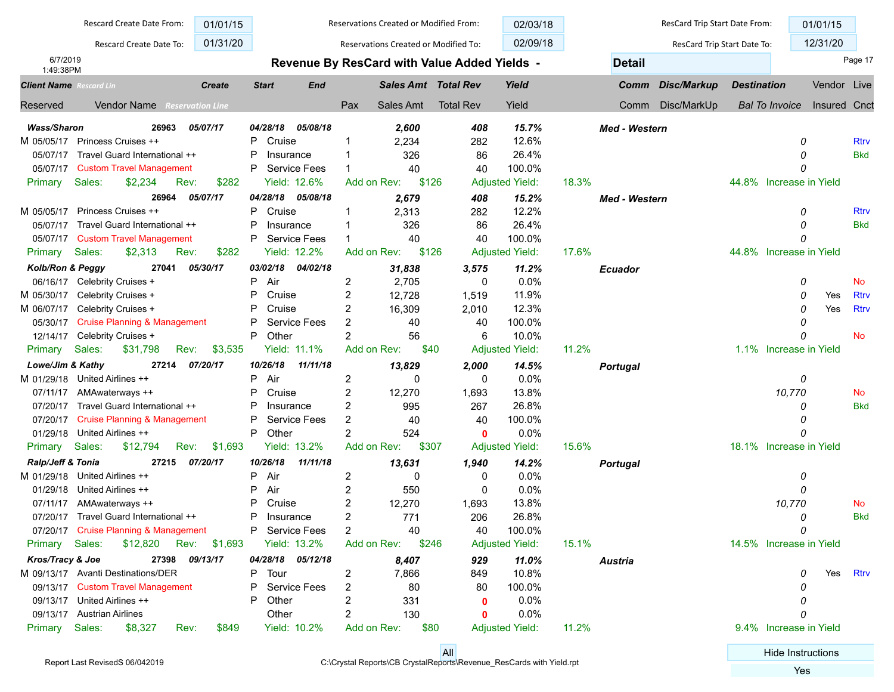|                                             | Rescard Create Date From:               | 01/01/15                |                         |                     |                | Reservations Created or Modified From: |                                              | 02/03/18               |       |                      | ResCard Trip Start Date From: |                    |                         | 01/01/15     |             |
|---------------------------------------------|-----------------------------------------|-------------------------|-------------------------|---------------------|----------------|----------------------------------------|----------------------------------------------|------------------------|-------|----------------------|-------------------------------|--------------------|-------------------------|--------------|-------------|
|                                             | Rescard Create Date To:                 | 01/31/20                |                         |                     |                | Reservations Created or Modified To:   |                                              | 02/09/18               |       |                      | ResCard Trip Start Date To:   |                    |                         | 12/31/20     |             |
| 6/7/2019                                    |                                         |                         |                         |                     |                |                                        | Revenue By ResCard with Value Added Yields - |                        |       | <b>Detail</b>        |                               |                    |                         |              | Page 17     |
| 1:49:38PM<br><b>Client Name</b> Rescard Lin |                                         | <b>Create</b>           | <b>Start</b>            | <b>End</b>          |                | <b>Sales Amt Total Rev</b>             |                                              | Yield                  |       | Comm                 | Disc/Markup                   | <b>Destination</b> |                         | Vendor Live  |             |
| Reserved                                    | Vendor Name                             | <b>Reservation Line</b> |                         |                     | Pax            | Sales Amt                              | <b>Total Rev</b>                             | Yield                  |       | Comm                 | Disc/MarkUp                   |                    | <b>Bal To Invoice</b>   | Insured Cnct |             |
|                                             |                                         |                         |                         |                     |                |                                        |                                              |                        |       |                      |                               |                    |                         |              |             |
| <b>Wass/Sharon</b><br>M 05/05/17            | 26963<br>Princess Cruises ++            | 05/07/17                | 04/28/18<br>P<br>Cruise | 05/08/18            | 1              | 2,600<br>2,234                         | 408<br>282                                   | 15.7%<br>12.6%         |       | <b>Med - Western</b> |                               |                    | 0                       |              | <b>Rtrv</b> |
| 05/07/17                                    | Travel Guard International ++           |                         | P<br>Insurance          |                     |                | 326                                    | 86                                           | 26.4%                  |       |                      |                               |                    | 0                       |              | <b>Bkd</b>  |
| 05/07/17                                    | <b>Custom Travel Management</b>         |                         | P                       | <b>Service Fees</b> | $\mathbf 1$    | 40                                     | 40                                           | 100.0%                 |       |                      |                               |                    | $\Omega$                |              |             |
| Primary                                     | Sales:<br>\$2,234<br>Rev:               | \$282                   |                         | Yield: 12.6%        | Add on Rev:    | \$126                                  |                                              | <b>Adjusted Yield:</b> | 18.3% |                      |                               |                    | 44.8% Increase in Yield |              |             |
|                                             | 26964                                   | 05/07/17                | 04/28/18                | 05/08/18            |                | 2,679                                  | 408                                          | 15.2%                  |       | Med - Western        |                               |                    |                         |              |             |
| M 05/05/17                                  | Princess Cruises ++                     |                         | P<br>Cruise             |                     | -1             | 2,313                                  | 282                                          | 12.2%                  |       |                      |                               |                    | 0                       |              | <b>Rtrv</b> |
| 05/07/17                                    | Travel Guard International ++           |                         | P<br>Insurance          |                     | -1             | 326                                    | 86                                           | 26.4%                  |       |                      |                               |                    | 0                       |              | <b>Bkd</b>  |
| 05/07/17                                    | <b>Custom Travel Management</b>         |                         |                         | <b>Service Fees</b> | -1             | 40                                     | 40                                           | 100.0%                 |       |                      |                               |                    | 0                       |              |             |
| Primary                                     | Sales:<br>\$2,313<br>Rev:               | \$282                   |                         | Yield: 12.2%        | Add on Rev:    | \$126                                  |                                              | <b>Adjusted Yield:</b> | 17.6% |                      |                               |                    | 44.8% Increase in Yield |              |             |
| Kolb/Ron & Peggy                            | 27041                                   | 05/30/17                | 03/02/18                | 04/02/18            |                | 31,838                                 | 3,575                                        | 11.2%                  |       | <b>Ecuador</b>       |                               |                    |                         |              |             |
| 06/16/17                                    | Celebrity Cruises +                     |                         | P<br>Air                |                     | 2              | 2,705                                  | $\mathbf 0$                                  | 0.0%                   |       |                      |                               |                    | 0                       |              | <b>No</b>   |
| M 05/30/17                                  | Celebrity Cruises +                     |                         | P<br>Cruise             |                     | 2              | 12,728                                 | 1,519                                        | 11.9%                  |       |                      |                               |                    | 0                       | Yes          | <b>Rtrv</b> |
| M 06/07/17                                  | Celebrity Cruises +                     |                         | P<br>Cruise             |                     | 2              | 16,309                                 | 2,010                                        | 12.3%                  |       |                      |                               |                    | 0                       | Yes          | <b>Rtrv</b> |
| 05/30/17                                    | <b>Cruise Planning &amp; Management</b> |                         | P                       | <b>Service Fees</b> | 2              | 40                                     | 40                                           | 100.0%                 |       |                      |                               |                    | 0                       |              |             |
| 12/14/17                                    | Celebrity Cruises +                     |                         | P<br>Other              |                     | $\overline{2}$ | 56                                     | 6                                            | 10.0%                  |       |                      |                               |                    | 0                       |              | <b>No</b>   |
| Primary                                     | Sales:<br>\$31,798<br>Rev:              | \$3,535                 |                         | Yield: 11.1%        | Add on Rev:    | \$40                                   |                                              | <b>Adjusted Yield:</b> | 11.2% |                      |                               |                    | 1.1% Increase in Yield  |              |             |
| Lowe/Jim & Kathy                            | 27214                                   | 07/20/17                | 10/26/18                | 11/11/18            |                | 13,829                                 | 2,000                                        | 14.5%                  |       | Portugal             |                               |                    |                         |              |             |
| M 01/29/18                                  | United Airlines ++                      |                         | P<br>Air                |                     | 2              | $\Omega$                               | 0                                            | 0.0%                   |       |                      |                               |                    | 0                       |              |             |
| 07/11/17                                    | AMAwaterways ++                         |                         | P<br>Cruise             |                     | $\overline{c}$ | 12,270                                 | 1,693                                        | 13.8%                  |       |                      |                               |                    | 10,770                  |              | No          |
| 07/20/17                                    | Travel Guard International ++           |                         | P<br>Insurance          |                     | 2              | 995                                    | 267                                          | 26.8%                  |       |                      |                               |                    | O                       |              | <b>Bkd</b>  |
| 07/20/17                                    | <b>Cruise Planning &amp; Management</b> |                         | P                       | <b>Service Fees</b> | 2              | 40                                     | 40                                           | 100.0%                 |       |                      |                               |                    | O                       |              |             |
| 01/29/18                                    | United Airlines ++                      |                         | P<br>Other              |                     | $\overline{2}$ | 524                                    | $\mathbf{0}$                                 | 0.0%                   |       |                      |                               |                    | n                       |              |             |
| Primary                                     | Sales:<br>\$12,794<br>Rev:              | \$1,693                 |                         | Yield: 13.2%        | Add on Rev:    | \$307                                  |                                              | <b>Adjusted Yield:</b> | 15.6% |                      |                               |                    | 18.1% Increase in Yield |              |             |
| Ralp/Jeff & Tonia                           | 27215                                   | 07/20/17                | 10/26/18                | 11/11/18            |                | 13,631                                 | 1,940                                        | 14.2%                  |       | <b>Portugal</b>      |                               |                    |                         |              |             |
| M 01/29/18                                  | United Airlines ++                      |                         | P<br>Air                |                     | 2              | 0                                      | 0                                            | 0.0%                   |       |                      |                               |                    | 0                       |              |             |
| 01/29/18                                    | United Airlines ++                      |                         | P<br>Air                |                     | 2              | 550                                    | 0                                            | 0.0%                   |       |                      |                               |                    | 0                       |              |             |
| 07/11/17                                    | AMAwaterways ++                         |                         | P<br>Cruise             |                     | 2              | 12,270                                 | 1,693                                        | 13.8%                  |       |                      |                               |                    | 10,770                  |              | No          |
| 07/20/17                                    | Travel Guard International ++           |                         | Р<br>Insurance          |                     | $\overline{2}$ | 771                                    | 206                                          | 26.8%                  |       |                      |                               |                    | 0                       |              | <b>Bkd</b>  |
|                                             | 07/20/17 Cruise Planning & Management   |                         | P Service Fees          |                     | 2              | 40                                     | 40                                           | 100.0%                 |       |                      |                               |                    | 0                       |              |             |
| Primary Sales:                              | \$12,820 Rev: \$1,693                   |                         |                         | Yield: 13.2%        | Add on Rev:    | \$246                                  |                                              | <b>Adjusted Yield:</b> | 15.1% |                      |                               |                    | 14.5% Increase in Yield |              |             |
| Kros/Tracy & Joe                            | 27398                                   | 09/13/17                |                         | 04/28/18 05/12/18   |                | 8,407                                  | 929                                          | 11.0%                  |       | <b>Austria</b>       |                               |                    |                         |              |             |
|                                             | M 09/13/17 Avanti Destinations/DER      |                         | P Tour                  |                     | 2              | 7,866                                  | 849                                          | 10.8%                  |       |                      |                               |                    | 0                       | Yes          | <b>Rtrv</b> |
|                                             | 09/13/17 Custom Travel Management       |                         | P.                      | Service Fees        | 2              | 80                                     | 80                                           | 100.0%                 |       |                      |                               |                    | 0                       |              |             |
|                                             | 09/13/17 United Airlines ++             |                         | P Other                 |                     | 2              | 331                                    | $\mathbf{0}$                                 | 0.0%                   |       |                      |                               |                    | 0                       |              |             |
|                                             | 09/13/17 Austrian Airlines              |                         | Other                   |                     | 2              | 130                                    | 0                                            | 0.0%                   |       |                      |                               |                    | 0                       |              |             |
| Primary                                     | Sales:<br>\$8,327<br>Rev:               | \$849                   |                         | Yield: 10.2%        | Add on Rev:    | \$80                                   |                                              | <b>Adjusted Yield:</b> | 11.2% |                      |                               |                    | 9.4% Increase in Yield  |              |             |

**All** Hide Instructions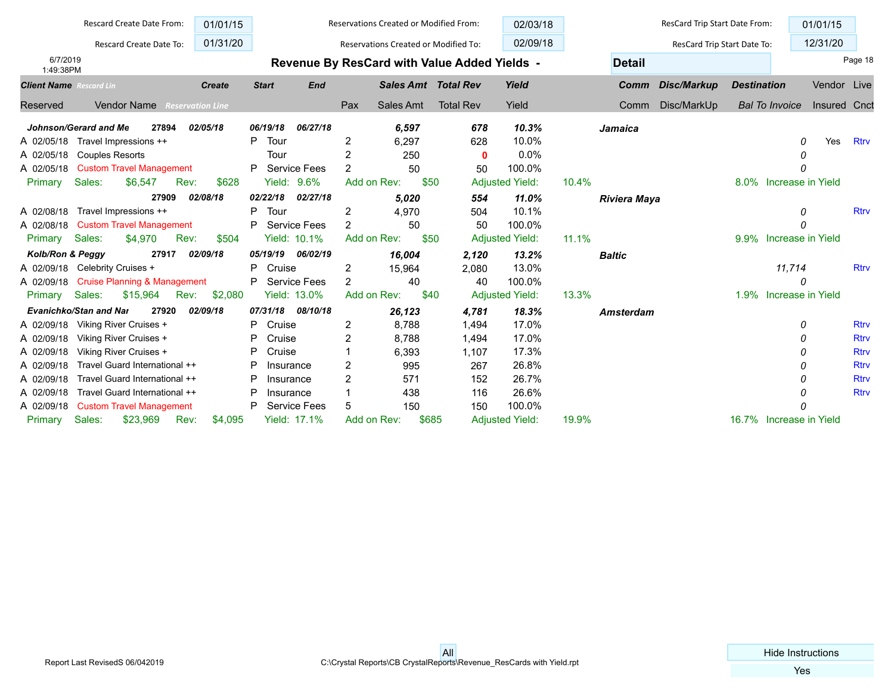|                                | Rescard Create Date From:               | 01/01/15                |                |                     |                | Reservations Created or Modified From: |                                                     | 02/03/18               |       |                     | ResCard Trip Start Date From: |                    |                         | 01/01/15     |             |
|--------------------------------|-----------------------------------------|-------------------------|----------------|---------------------|----------------|----------------------------------------|-----------------------------------------------------|------------------------|-------|---------------------|-------------------------------|--------------------|-------------------------|--------------|-------------|
|                                | Rescard Create Date To:                 | 01/31/20                |                |                     |                | Reservations Created or Modified To:   |                                                     | 02/09/18               |       |                     | ResCard Trip Start Date To:   |                    |                         | 12/31/20     |             |
| 6/7/2019<br>1:49:38PM          |                                         |                         |                |                     |                |                                        | <b>Revenue By ResCard with Value Added Yields -</b> |                        |       | <b>Detail</b>       |                               |                    |                         |              | Page 18     |
| <b>Client Name</b> Rescard Lin |                                         | <b>Create</b>           | <b>Start</b>   | <b>End</b>          |                | <b>Sales Amt Total Rev</b>             |                                                     | Yield                  |       | Comm                | Disc/Markup                   | <b>Destination</b> |                         | Vendor Live  |             |
| Reserved                       | <b>Vendor Name</b>                      | <b>Reservation Line</b> |                |                     | Pax            | Sales Amt                              | <b>Total Rev</b>                                    | Yield                  |       | Comm                | Disc/MarkUp                   |                    | <b>Bal To Invoice</b>   | Insured Cnct |             |
|                                | Johnson/Gerard and Me<br>27894          | 02/05/18                | 06/19/18       | 06/27/18            |                | 6.597                                  | 678                                                 | 10.3%                  |       | Jamaica             |                               |                    |                         |              |             |
|                                | A 02/05/18 Travel Impressions ++        |                         | P<br>Tour      |                     | 2              | 6.297                                  | 628                                                 | 10.0%                  |       |                     |                               |                    | 0                       | Yes          | <b>Rtrv</b> |
| A 02/05/18                     | <b>Couples Resorts</b>                  |                         | Tour           |                     | 2              | 250                                    | $\mathbf 0$                                         | 0.0%                   |       |                     |                               |                    | 0                       |              |             |
| A 02/05/18                     | <b>Custom Travel Management</b>         |                         | P              | Service Fees        | $\overline{2}$ | 50                                     | 50                                                  | 100.0%                 |       |                     |                               |                    |                         |              |             |
| Primary                        | Sales:<br>\$6,547<br>Rev:               | \$628                   |                | <b>Yield: 9.6%</b>  | Add on Rev:    | \$50                                   |                                                     | <b>Adjusted Yield:</b> | 10.4% |                     |                               |                    | 8.0% Increase in Yield  |              |             |
|                                | 27909                                   | 02/08/18                | 02/22/18       | 02/27/18            |                | 5.020                                  | 554                                                 | 11.0%                  |       | <b>Riviera Maya</b> |                               |                    |                         |              |             |
| A 02/08/18                     | Travel Impressions ++                   |                         | Tour<br>P      |                     | 2              | 4,970                                  | 504                                                 | 10.1%                  |       |                     |                               |                    | 0                       |              | <b>Rtrv</b> |
| A 02/08/18                     | <b>Custom Travel Management</b>         |                         | P.             | Service Fees        | $\overline{2}$ | 50                                     | 50                                                  | 100.0%                 |       |                     |                               |                    | $\Omega$                |              |             |
| Primary                        | Sales:<br>\$4,970<br>Rev:               | \$504                   |                | <b>Yield: 10.1%</b> | Add on Rev:    | \$50                                   |                                                     | <b>Adjusted Yield:</b> | 11.1% |                     |                               |                    | 9.9% Increase in Yield  |              |             |
| Kolb/Ron & Peggy               | 27917                                   | 02/09/18                | 05/19/19       | 06/02/19            |                | 16,004                                 | 2,120                                               | 13.2%                  |       | <b>Baltic</b>       |                               |                    |                         |              |             |
| A 02/09/18                     | Celebrity Cruises +                     |                         | P<br>Cruise    |                     | 2              | 15,964                                 | 2,080                                               | 13.0%                  |       |                     |                               |                    | 11,714                  |              | <b>Rtrv</b> |
| A 02/09/18                     | <b>Cruise Planning &amp; Management</b> |                         | P Service Fees |                     | 2              | 40                                     | 40                                                  | 100.0%                 |       |                     |                               |                    | 0                       |              |             |
| Primary                        | Sales:<br>\$15,964<br>Rev:              | \$2,080                 |                | <b>Yield: 13.0%</b> | Add on Rev:    | \$40                                   |                                                     | <b>Adjusted Yield:</b> | 13.3% |                     |                               | 1.9%               | Increase in Yield       |              |             |
|                                | <b>Evanichko/Stan and Nar</b><br>27920  | 02/09/18                | 07/31/18       | 08/10/18            |                | 26,123                                 | 4,781                                               | 18.3%                  |       | <b>Amsterdam</b>    |                               |                    |                         |              |             |
| A 02/09/18                     | Viking River Cruises +                  |                         | P<br>Cruise    |                     | 2              | 8.788                                  | 1,494                                               | 17.0%                  |       |                     |                               |                    | 0                       |              | <b>Rtrv</b> |
| A 02/09/18                     | Viking River Cruises +                  |                         | P<br>Cruise    |                     | 2              | 8.788                                  | 1.494                                               | 17.0%                  |       |                     |                               |                    | 0                       |              | <b>Rtrv</b> |
| A 02/09/18                     | Viking River Cruises +                  |                         | P<br>Cruise    |                     |                | 6,393                                  | 1,107                                               | 17.3%                  |       |                     |                               |                    | O                       |              | <b>Rtrv</b> |
| A 02/09/18                     | Travel Guard International ++           |                         | P<br>Insurance |                     | 2              | 995                                    | 267                                                 | 26.8%                  |       |                     |                               |                    | 0                       |              | <b>Rtrv</b> |
| A 02/09/18                     | Travel Guard International ++           |                         | P<br>Insurance |                     | $\overline{2}$ | 571                                    | 152                                                 | 26.7%                  |       |                     |                               |                    | 0                       |              | <b>Rtrv</b> |
| A 02/09/18                     | Travel Guard International ++           |                         | P<br>Insurance |                     |                | 438                                    | 116                                                 | 26.6%                  |       |                     |                               |                    | O                       |              | <b>Rtrv</b> |
| A 02/09/18                     | <b>Custom Travel Management</b>         |                         | P              | <b>Service Fees</b> | 5              | 150                                    | 150                                                 | 100.0%                 |       |                     |                               |                    |                         |              |             |
| Primary                        | Sales:<br>\$23,969<br>Rev:              | \$4,095                 |                | <b>Yield: 17.1%</b> | Add on Rev:    | \$685                                  |                                                     | <b>Adjusted Yield:</b> | 19.9% |                     |                               |                    | 16.7% Increase in Yield |              |             |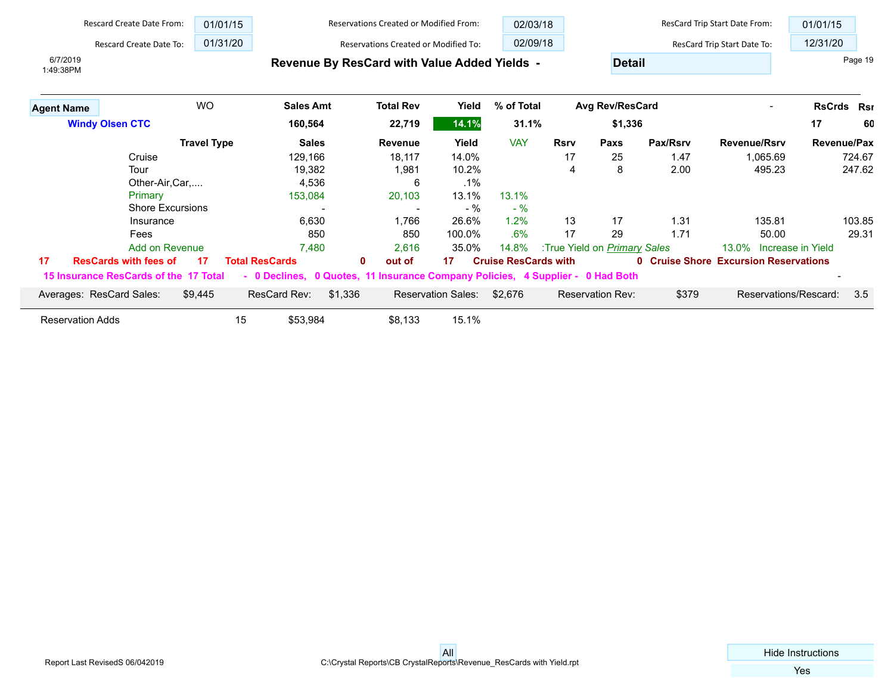|                         | <b>Rescard Create Date From:</b>      | 01/01/15           |                                                                                | <b>Reservations Created or Modified From:</b> |                           |                             | 02/03/18    |                                     |          | ResCard Trip Start Date From:                | 01/01/15           |         |
|-------------------------|---------------------------------------|--------------------|--------------------------------------------------------------------------------|-----------------------------------------------|---------------------------|-----------------------------|-------------|-------------------------------------|----------|----------------------------------------------|--------------------|---------|
|                         | <b>Rescard Create Date To:</b>        | 01/31/20           |                                                                                | Reservations Created or Modified To:          |                           | 02/09/18                    |             |                                     |          | ResCard Trip Start Date To:                  | 12/31/20           |         |
| 6/7/2019<br>1:49:38PM   |                                       |                    |                                                                                | Revenue By ResCard with Value Added Yields -  |                           |                             |             | <b>Detail</b>                       |          |                                              |                    | Page 19 |
| <b>Agent Name</b>       | <b>WO</b>                             |                    | <b>Sales Amt</b>                                                               | <b>Total Rev</b>                              | Yield                     | % of Total                  |             | <b>Avg Rev/ResCard</b>              |          |                                              | <b>RsCrds Rsr</b>  |         |
| <b>Windy Olsen CTC</b>  |                                       |                    | 160,564                                                                        | 22,719                                        | 14.1%                     | 31.1%                       |             | \$1,336                             |          |                                              | 17                 | 60      |
|                         |                                       | <b>Travel Type</b> | <b>Sales</b>                                                                   | <b>Revenue</b>                                | Yield                     | <b>VAY</b>                  | <b>Rsrv</b> | Paxs                                | Pax/Rsrv | <b>Revenue/Rsrv</b>                          | <b>Revenue/Pax</b> |         |
|                         | Cruise                                |                    | 129,166                                                                        | 18,117                                        | 14.0%                     |                             | 17          | 25                                  | 1.47     | 1,065.69                                     |                    | 724.67  |
|                         | Tour                                  |                    | 19,382                                                                         | 1,981                                         | 10.2%                     |                             | 4           | 8                                   | 2.00     | 495.23                                       |                    | 247.62  |
|                         | Other-Air, Car,                       |                    | 4,536                                                                          | 6                                             | $.1\%$                    |                             |             |                                     |          |                                              |                    |         |
|                         | Primary                               |                    | 153,084                                                                        | 20,103                                        | 13.1%                     | 13.1%                       |             |                                     |          |                                              |                    |         |
|                         | <b>Shore Excursions</b>               |                    |                                                                                |                                               | $-$ %                     | $-$ %                       |             |                                     |          |                                              |                    |         |
|                         | Insurance                             |                    | 6,630                                                                          | 1,766                                         | 26.6%                     | 1.2%                        | 13          | 17                                  | 1.31     | 135.81                                       |                    | 103.85  |
|                         | Fees                                  |                    | 850                                                                            | 850                                           | 100.0%                    | .6%                         | 17          | 29                                  | 1.71     | 50.00                                        |                    | 29.31   |
|                         | <b>Add on Revenue</b>                 |                    | 7,480                                                                          | 2,616                                         | 35.0%                     | 14.8%                       |             | :True Yield on <i>Primary Sales</i> |          | 13.0%                                        | Increase in Yield  |         |
| 17                      | <b>ResCards with fees of</b>          | 17                 | <b>Total ResCards</b>                                                          | $\mathbf{0}$<br>out of                        | 17                        | <b>Cruise ResCards with</b> |             |                                     |          | <b>0 Cruise Shore Excursion Reservations</b> |                    |         |
|                         | 15 Insurance ResCards of the 17 Total |                    | - 0 Declines, 0 Quotes, 11 Insurance Company Policies, 4 Supplier - 0 Had Both |                                               |                           |                             |             |                                     |          |                                              |                    |         |
|                         | Averages: ResCard Sales:              | \$9,445            | ResCard Rev:<br>\$1,336                                                        |                                               | <b>Reservation Sales:</b> | \$2,676                     |             | Reservation Rev:                    | \$379    | Reservations/Rescard:                        |                    | 3.5     |
| <b>Reservation Adds</b> |                                       | 15                 | \$53,984                                                                       | \$8,133                                       | 15.1%                     |                             |             |                                     |          |                                              |                    |         |